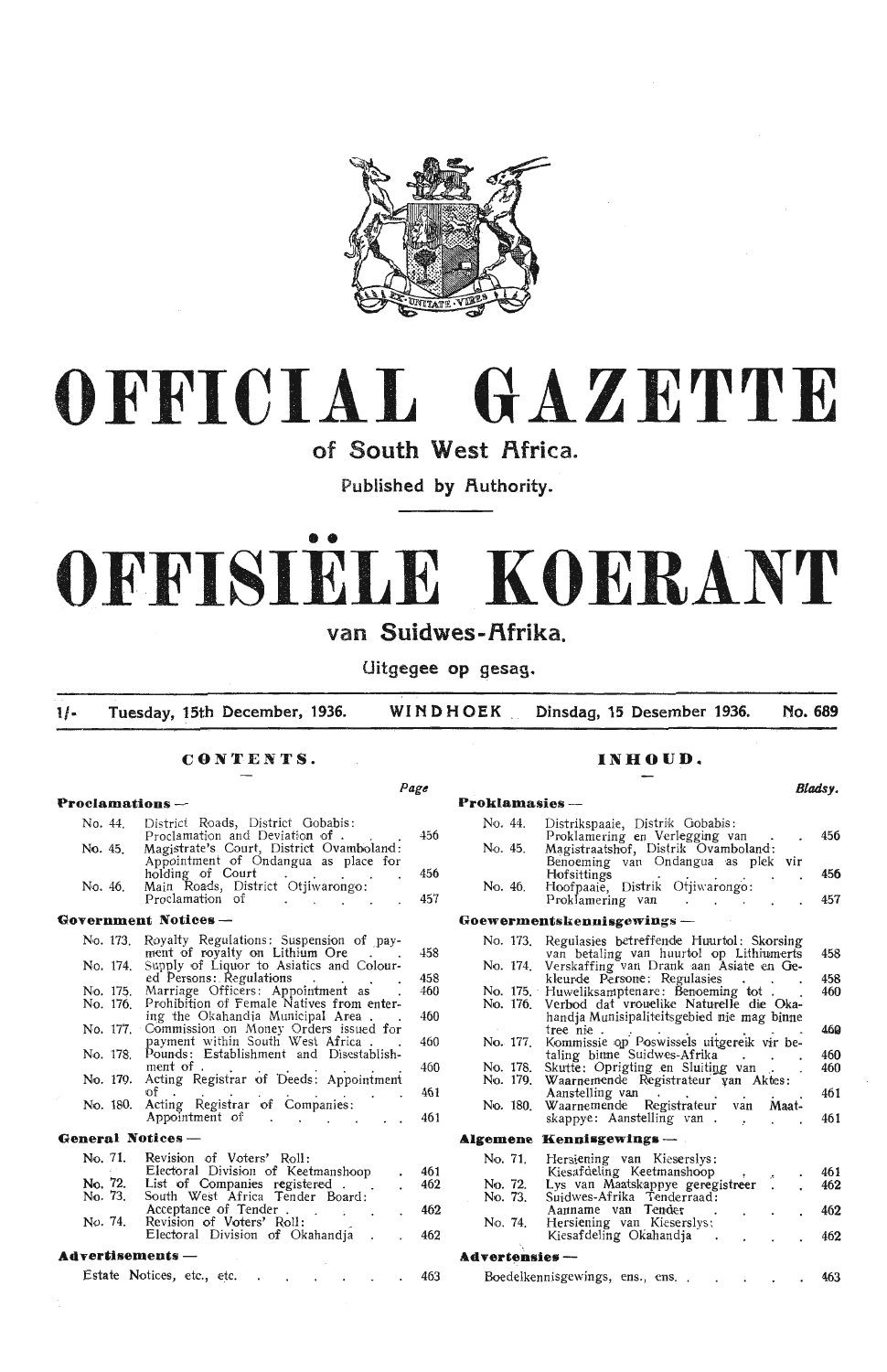

# **OFFICIAL GAZETTE**

**of South West flfrica.** 

Published by Authority.

# • • **OFFISIELE KOERANT**

## **van Suidwes-f\frika.**

**Uitgegee op gesag .** 

**l/- Tuesday, 15th December, 1936. WINDHOEK Dinsdag, 15 Desember 1936. No. 689** 

*Page* 

## **CONTENTS.**

#### **Proclamations** - No. 44. District Roads, District Gobabis:<br>Proclamation and Deviation of . . . . . 456 No. 45. Magistrate's Court, District Ovamboland: Appointment of Ondangua as place for holding of Court . . . . 456 No. 46. Main Roads, District Otjiwarongo: Proclamation of The Contract of Tennes Contract of Tennes And Assembly Assembly **Government Notices** - No. 173. Royalty Regulations: Suspension of payment of royalty on Lithium Ore ... . No. 174. Supply of Liquor to Asiatics and Coloured Persons: Regulations . . . . No. 175. Marriage Officers: Appointment as . No. 176. Prohibition of Female Natives from entering the Okahandia Municipal Area . .<br>No. 177. Commission on Money Orders issued for payment within South West Africa . . No. 178. Pounds: Establishment and Disestablish-No. 179. Acting Registrar of Deeds: Appointment of . . . . . . No. 180. Acting Registrar of Companies: Appointment of **General Notices** - No. 71. No. 72. No. 73. No. 74. Revision of Voters' Roll: Electoral Division of Keetmanshoop List of Companies registered .<br>South West Africa Tender Board: Acceptance of Tender .<br>Revision of Voters' Roll:<br>Electoral Division of Okahandja 458  $AE$ 460 460  $460$ 460 461  $46$ 461  $462$ 462  $46<sup>4</sup>$

#### **Advertisements** -

|  | Estate Notices, etc., etc. |  |  |  |  | 463 |
|--|----------------------------|--|--|--|--|-----|
|  |                            |  |  |  |  |     |

#### **INHOUD.**

| Proklamasies — | DHAS J.                                                                                        |            |
|----------------|------------------------------------------------------------------------------------------------|------------|
| No. 44.        | Distrikspaaie, Distrik Gobabis:<br>Proklamering en Verlegging van                              | 456        |
| No. 45.        | Magistraatshof, Distrik Ovamboland:<br>Benoeming van Ondangua as plek vir                      |            |
| No. 46.        | Hofsittings<br>Hoofpaaie, Distrik Otjiwarongo:<br>Proklamering van                             | 456<br>457 |
|                | Goewermentskennisgewings —                                                                     |            |
| No. 173.       | Regulasies betreffende Huurtol: Skorsing                                                       |            |
|                | van betaling van huurtol op Lithiumerts                                                        | 458        |
| No. 174.       | Verskaffing van Drank aan Asiate en Ge-<br>kleurde Persone: Regulasies                         | 458        |
|                | No. 175. Huweliksamptenare: Benoeming tot.                                                     | 460        |
|                | No. 176. Verbod dat vrouelike Naturelle die Oka-<br>handja Munisipaliteitsgebied nie mag binne |            |
| No. 177        | tree nie.<br>kommissie op Poswissels uitgereik vir be-                                         | 460        |
|                | taling binne Suidwes-Afrika                                                                    | 460        |
| No. 178.       | Skutte: Oprigting en Sluiting van.                                                             | 460        |
| No. 179.       | Waarnemende Registrateur van Aktes:<br>Aanstelling van.                                        | 461        |
| No. 180.       | Waarnemende Registrateur van Maat-                                                             |            |
|                | skappye: Aanstelling van.<br>×.                                                                | 461        |
| Algemene       | $\bf{Kenn}$ isgewings —                                                                        |            |
| No. 71.        | Hersiening van Kieserslys:                                                                     |            |
|                | Kiesafdeling Keetmanshoop<br>A.                                                                | 461        |
| No. 72.        | Lys van Maatskappye geregistreer<br>$\ddot{\phantom{0}}$                                       | 462        |
| No. 73.        | Suidwes-Afrika Tenderraad:                                                                     |            |
| No. 74.        | Aanname van Tender<br>Hersiening van Kieserslys:<br>Kiesafdeling Okahandja                     | 462<br>462 |
| Advertensies — |                                                                                                |            |
|                |                                                                                                |            |
|                | Boedelkennisgewings, ens., ens.                                                                | 463        |

#### *Bladsy.*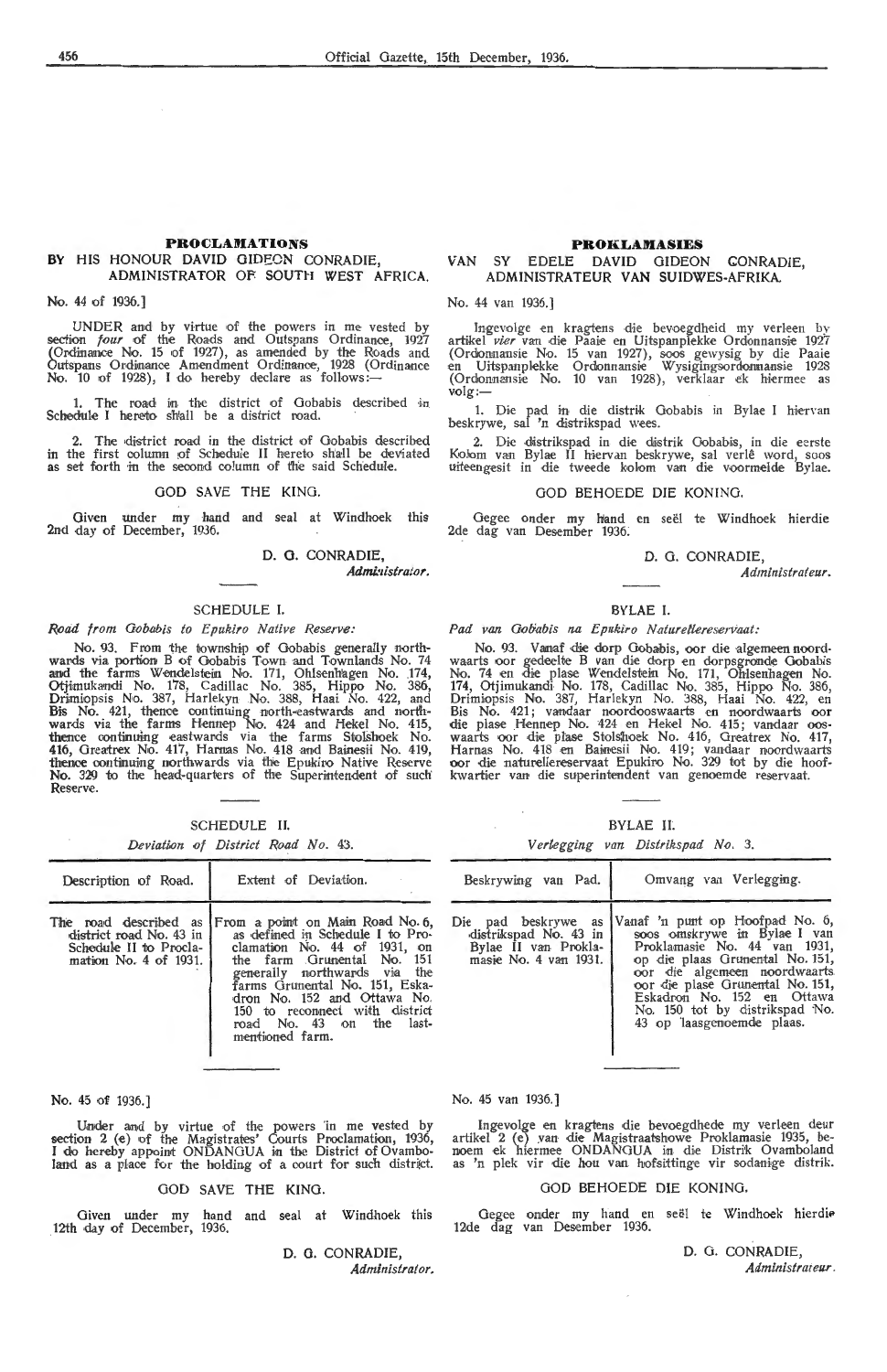#### **PROCLAMATIONS BY** HIS HONOUR DAVID GIDEON CONRADIE, **ADMINISTRATOR OF SOUTH WEST AFRICA.**

No. 44 of 1936.]

UNDER and by virtue of the powers in me vested by section *four* of the Roads and Outspans Ordinance, 1927<br>(Ordinance No. 15 of 1927), as amended by the Roads and<br>Outspans Ordinance Amendment Ordinance, 1928 (Ordinance Outspans Ordinance Amendment Ordinance, 1928 (Ordinance<br>No. 10 of 1928), I do hereby declare as follows:--

1. The road in the district of Gobabis described in Schedule I hereto sh'all be a district road.

The district road in the district of Gobabis described in the first column of Schedule II hereto shall be deviated as set forth in the second column of the said Schedule.

#### GOD SAVE THE KING.

Given under my hand and seal at Windhoek this 2nd day of December, 1936.

D. G. CONRADIE,

*Admi.•listrator.* 

#### SCHEDULE I.

#### *Road from Gobabis to Epukiro Native Reserve:*

No. 93. From the township of Gobabis generally northwards via portion B of Oobabis Town and Townlands No. 74 and the farms Wendelstein No. 171, Ohlsenhagen No. 174, Otjimukandi No. 178, Cadillac No. 385, Hippo No. 386, Drimiopsis No. 387, Harlekyn No. 388, Haai No. 422, and Bis No. 421, thence continuing north-eastwards and north-<br>wards via the farms Hennep No. 424 and Hekel No. 415, thence continuing eastwards via the farms Stolshoek No. 416, Greatrex No. 417, Harnas No. 418 and Bainesii No. 419, thence continuing northwards via the Epukiro Native Reserve<br>**No.** 329 to the head-quarters of the Superintendent of such Reserve.

| SCHEDULE |
|----------|
|----------|

*Deviation of District Road No.* 43.

| Description of Road.                                                                                | Extent of Deviation.                                                                                                                                                                                                                                                                                                 |
|-----------------------------------------------------------------------------------------------------|----------------------------------------------------------------------------------------------------------------------------------------------------------------------------------------------------------------------------------------------------------------------------------------------------------------------|
| The road described as<br>district road No. 43 in<br>Schedule II to Procla-<br>mation No. 4 of 1931. | From a point on Main Road No. 6,<br>as defined in Schedule I to Pro-<br>clamation No. 44 of 1931, on<br>the farm Grunental No. 151<br>generally northwards via the<br>farms Grunental No. 151, Eska-<br>dron No. 152 and Ottawa No.<br>150 to reconnect with district<br>road No. 43 on the last-<br>mentioned farm. |

**No.** 45 of 1936.]

Under and by virtue of the powers in me vested by section 2 (e) of the Magistrates' Courts Proclamation, 1936, I do hereby appoint ONDANGUA in the District of Ovambo land as a place for the holding of a court for such district.

#### GOD SAVE THE KING.

Given under my hand and seal at Windhoek this 12th day of December, 1936.

> **D. O. CONRADIE,**  *Administrator,*

### **PROKLAMASIES**  VAN SY EDELE DAVID GIDEON CONRADIE,

ADMINISTRATEUR **VAN** SUIDWES-AFRIKA.

No. 44 van 1936.]

Ingevolge en kragtens die bevoegdheid my verleen by artikel *Pier* van die Paaie en Uitspanplekke Ordonnansie 1927 (Ordonnansie No. 15 van 1927), soos gewysig by die Paaie<br>en Uitspanplekke Ordonnansie Wysigingsordonnansie 1928 (Ordonnansie No. 10 van 1928), verklaar ek hiermee as<br>volg:—

1. Die pad in die distrik Gobabis in Bylae I hiervan<br>beskrywe, sal 'n distrikspad wees.

2. Die distrikspad in die distrik Gobabis, in die eerste Kolom van Bylae II hiervan beskrywe, sal verlê word, soos uiteengesit in die tweede kolom van die voormelde Bylae.

#### GOD BEHOEDE DIE KONING.

Gegee onder my hand en seël te Windhoek hierdie 2de dag van Desember 1936:

#### D. 0. CONRADIE,

*Administrat e.ur.* 

#### BYLAE I.

#### Pad van Gobabis na Epukiro Naturellereservaat:

No. 93. Vanaf die dorp Gobabis, oor die algemeen noordwaarts oor gedeelte B van die dorp en dorpsgronde Gobabis No. 74 en die plase Wendelstein No. 171, Ohlsenhagen No. 174, Otjimukan,di No. 178, Cadillac No. 385, Hippo No. 386, Drimiopsis No. 387, Harlekyn No. 388, Haai No. 422, en Bis No. 421; vandaar noordooswaarts en noordwaarts oor<br>die plase Hennep No. 424 en Hekel No. 415; vandaar oos-<br>waarts oor die plase Stolshoek No. 416, Greatrex No. 417 Harnas No. 418 en Bainesii No. 419; vandaar noordwaarts oor die naturellereservaat Epukiro No. 329 tot by die hoofkwartier van die superintendent van genoemde reservaat.

BYLAE IL

*Vertegging van Distrikspad No.* 3.

| Beskrywing van Pad.                                                                           | Omvang van Verlegging.                                                                                                                                                                                                                                                                              |
|-----------------------------------------------------------------------------------------------|-----------------------------------------------------------------------------------------------------------------------------------------------------------------------------------------------------------------------------------------------------------------------------------------------------|
| Die pad beskrywe as<br>distrikspad No. 43 in<br>Bylae II van Prokla-<br>masie No. 4 van 1931. | Vanaf 'n punt op Hoofpad No. 6,<br>soos omskrywe in Bylae I van<br>Proklamasie No. 44 van 1931,<br>op die plaas Grunental No. 151,<br>oor die algemeen noordwaarts<br>oor die plase Grunental No. 151,<br>Eskadron No. 152 en Ottawa<br>No. 150 tot by distrikspad No.<br>43 op laasgenoemde plaas. |

#### No. 45 van 1936.]

Ingevolge en kragtens die bevoegdhede my verleen deur<br>artikel 2 (e) van die Magistraatshowe Proklamasie 1935, be-<br>noem ek hiermee ONDANGUA in die Distrik Ovamboland<br>as 'n plek vir die hou van hofsittinge vir sodanige distr

#### GOD BEHOEDE DIE KONING.

Gegee onder my hand en seel te Windhoek hierdie 12de dag van Desember 1936.

> D. G. CONRADIE, *Administrai eur.*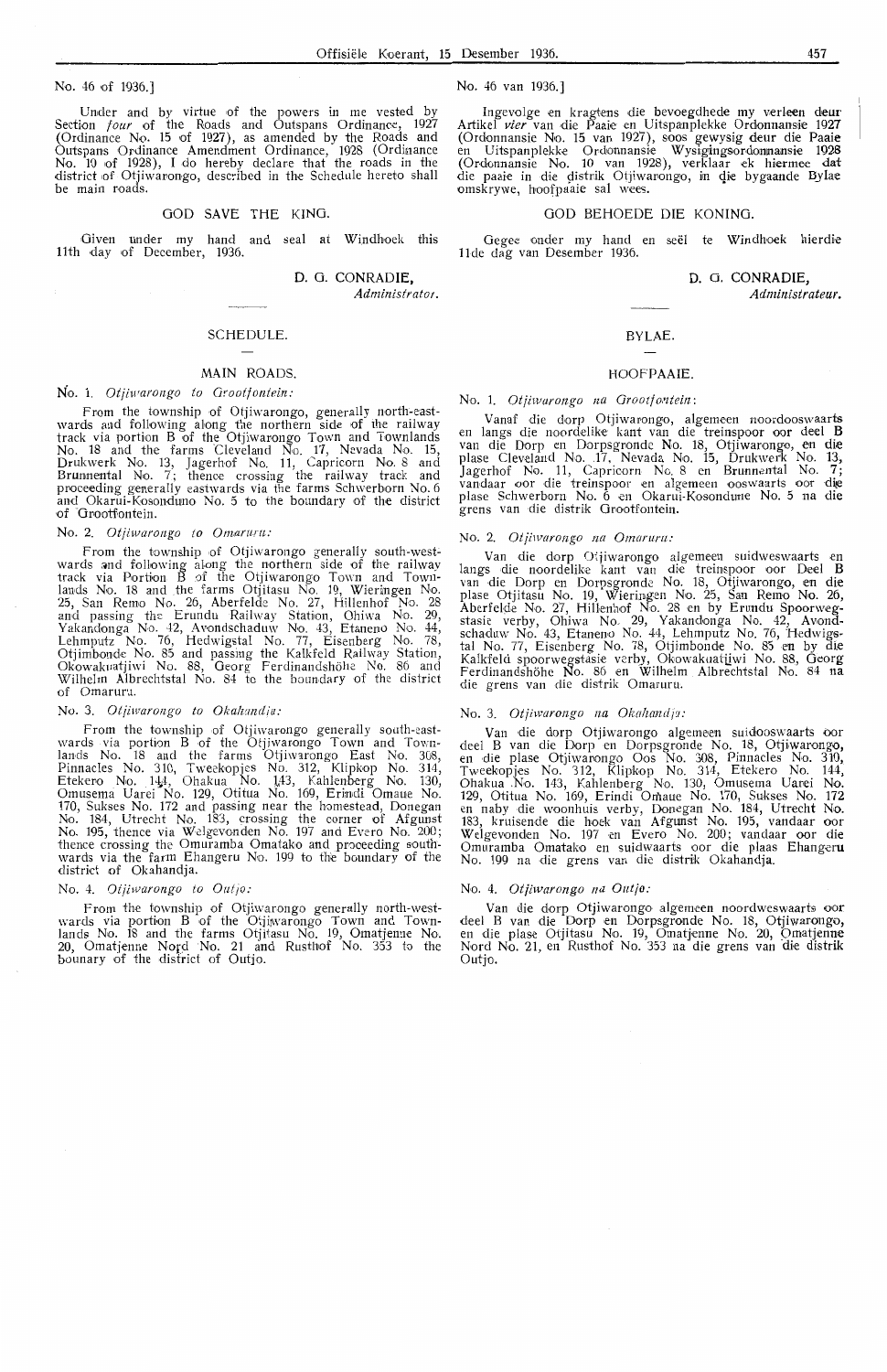No. 46 of 1936.)

Under and by virtue of the powers in me vested by Section *four* of the Roads and Outspans Ordinance, 1927 (Ordinance No. 15 of 1927), as amended by the Roads and Outspans Ordinance Amendment Ordinance, 1928 (Ordinance<br>No. 10 of 1928), I do hereby declare that the roads in the district of Otjiwarongo, described in the Schedule hereto shall be main roads.

#### GOD SAVE THE KING.

Given under my hand and seal at Windhoek this 11th day of December, 1936.

D. G. CONRADIE, *Administrator.* 

#### SCHEDULE.

## MAIN ROADS.

#### No. 1. *Oijiwarongo to Orootfontein:*

From the township of Otjiwarongo, generally north-eastwards and following along the northern side of the railway track via portion B of the Otjiwarongo Town and Townlands No. 18 and the farms Cleveland No. 17, Nevada No. 15, Drukwerk No. 13, Jagerhof No. 11, Capricorn No. 8 and Brurnnental No. 7; thence crossing the railway track and proceeding generally eastwards via the farms Schwerborn No. 6 and Okarui-Kosonduno No. 5 to the boundary of the district<br>of Grootfontein.

#### No. 2. *Otjiwarongo to Omarum:*

From the township of Otjiwarongo generally south-west-<br>wards and following along the northern side of the railway track via Portion B •of the Otjiwarongo Town and Town- lands No. 18 and .the farms Otjitasu No. 19, Wieriingen No. 25, San Remo No. 26, Aberfelde No. 27, Hillenhof No. 28 and passing the Erundu Railway Station, Ohiwa No. 29, Yakandonga No. 42, Avondschaduw No. 43, Etaneno No. 44, Lehmputz No. 76, Hedwigstal No. 77, Eisenberg No. 78, Otjimbonde No. 85 and passing the Kalkfeld Railway Station, Okowakuatjiwi No. 88, Georg Ferdinandshöhe No. 86 and Wilhelm Albrechtstal No. 84 to the boundary of the district of Omaruru.

#### No. 3. *Otjiwarongo to Okalzandia:*

From the township of Otjiwarongo generally south-east-<br>wards via portion B of the Otjiwarongo Town and Townlands No. 18 and the farms Otjiwarongo East No. 308, Pinnacles No. 310, Tweekopjes No. 312, Klipkop No. 314, Etekero No. 144, Ohakua No. 143, Kahlenberg No. 130,<br>Omusema Uarei No. 129, Otitua No. 169, Erindi Omaue No.<br>170, Sukses No. 172 and passing near the homestead, Donegan No. 184, Utrecht No. 183, crossing the corner of Afgunst No. 195, thence via Welgevonden No. 197 and Evero No. 200; thence crossing the Omuramba Omatako and proceeding southwards via the farm Ehangeru No. 199 to the boundary of the district of Okahandja.

#### No. 4. *Otiiwarongo to Outjo:*

From the township of Otjiwarongo gene rally north-westwards via portion B of the Otjiwarongo Town and Town-<br>lands No. 18 and the farms Otjitasu No. 19, Omatjenne No. 20, Omatjenne Nord No. 21 and Rusthof No. 353 to the<br>bounary of the district of Outjo. No. 46 van 1936.)

Ingevolge en kragtens die bevoegdhede my verleen deur Artikel *vier* van die Paaie en Uitspanplekke Ordonnansie 1927 (Ordonnansie No. 15 van 1927), soos gewysig deur die Paaie<br>en Uitspanplekke Ordonnansie Wysigingsordonnansie 1928 (Ordonnansie No. 10 van 1928), verklaar ek hiermee dat die paaie in die distrik Otjiwarongo, in die bygaande Bylae omskrywe, hoofpaaie sal wees.

#### GOD BEHOEDE DIE KONING.

Gegee onder my hand en seël te Windhoek hierdie 1 lde dag van Desember 1936.

#### **D.** 0. **CONRADIE,**

*Administrateur.* 

#### BYLAE.

#### HOOFPAAIE.

#### No. 1. Otjiwarongo na Grootfontein:

Vanaf -die dorp Otjiwarongo, algemeen noordooswaarts en langs <lie noordelike kant van dte treinspoor oor dee! **<sup>B</sup>** van die Dorp en Dorpsgronde No. 18, Otjiwarongo, en die<br>plase Cleveland No. 17, Nevada No. 15, Drukwerk No. 13, Jagerhof No. 11, Capricorn No 8 en Brunnental No. 7;<br>vandaar oor die treinspoor en algemeen ooswaarts oor die plase Schwerborn No. 6 en Okarui-Kosondune No. 5 na die grens van die distrik Grootfontein.

#### No. 2. *Otjiwarongo na Omaruru:*

Van die dorp Otjiwarongo algemeen suidweswaarts en<br>Iangs die noordelike kant van die treinspoor oor Deel **B** van die Dorp en Dorpsgronde No. 18, Otjiwarongo, en die plase Otjitasu No. 19, Wieringen No. 25, San Remo No. 26, Aberfelde No. 27, Hillenhof No. 28 en by Erundu Spoorwegstasie verby, Ohiwa No. 29, Yakandonga No. 42, Avond-schaduw No. 43, Etaneno No. 44, Lehmputz No. 76, H edwigstal No. 77, Eisenberg No. 78, Otjimbonde No. 85 en by die Kalkfeld spoorwegstasie verby, Okowakuatiiwi No. 88, Georg Ferdinandshöhe No. 86 en Wilhelm Albrechtstal No. 84 n<del>a</del><br>die grens van die distrik Omaruru.

#### No. 3. Otjiwarongo na Okahandja:

Van die dorp Otjiwarongo algemeen suidooswaarts oor deel B van die Dorp en Dorpsgronde No. 18, Otjiwarongo, en die plas,e Otjiwarongo Oos No. 308, Pinnades No. 310, Tweekopjes No. 312, Klipkop No. 314, Etekero No. 144, Ohakua .No. 143, Kahlenberg No. 130, Omusema Uarei No. 129, Otitua No. 169, Erindi Omaue No. 170, Sukses No. 172 en naby die woonhuis verby, Donegan No. 184, Utrecht No. 183, kruisende die hoek van Afgunst No. 195, vandaar oor Welgevonden No. 197 ·en Evero No. 200; vandaar oor die Omuramba Omatako en suidwaarts oor die plaas Ehangeru No. 199 na die grens van die distrik Okahandja.

#### No. 4. *Otjiwarongo na Outjo:*

Van die dorp Otjiwar,ongo algemeen noordweswaarts oor dee! B van die Dorp en Dorpsgronde No. 18, Otjiwarongo, en die plase Otjitasu No. 19, Omatjenne No. 20, Omatjenne Nord No. 21, en Rusthof No. 353 na die grens van die distrik Outjo.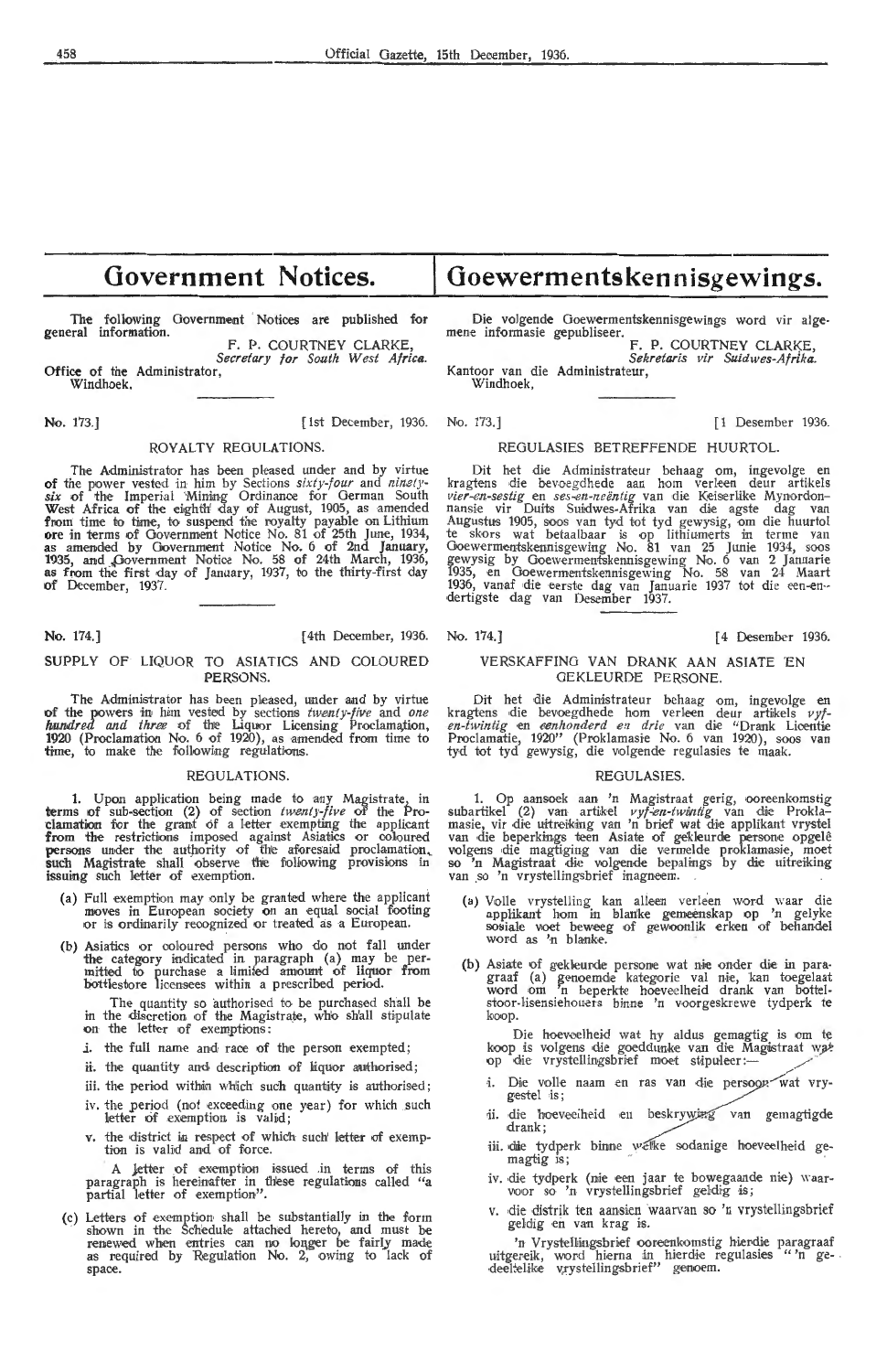# **Government Notices.**

following Government Notices are published for The following<br>general information.

F. P. COURTNEY CLARKE,<br>*Secretary for South West Africa.*<br>Office of the Administrator, Windhoek,

No. 173.] [1 Desember 1936. No. 173.] [1 Desember 1936.

#### ROYALTY REGULATIONS.

The Administrator has been pleased under and by virtue of the power vested in him by Sections *sixty-four* and *ninety- six* of the Imperial 'Mining Ordinance for German South West Africa of the eighth' day of August, 1905, as amended from time to tiane, to suspend the royalty payable on Lithium ore in terms of Government Notice No. 81 of 25th June, 1934, as amended by Government Notice No. 6 of 2nd January, 1935, and Government Notice No. 58 of 24th March, 1936,<br>as from the first day of January, 1937, to the thirty-first day of December, 1937.

No. 174.] [4th December, 1936. No. 174.] [4 Desember 1936.

#### SUPPLY OF LIQUOR TO ASIATICS AND COLOURED PERSONS.

The Administrator has been pleased, under and by virtue **of the powers in him vested by sections** *twenty-five* **and** *one**hundred and three* **of the Liquor Licensing Proclamation, 1920** (Proclamation No. 6 of 1920), as amended foom time to **time,** to make the following regulations.

#### **REGULATIONS**

1. Upon application being made to any Magistrate, in terms of sub-section (2) of section *twenty-five* of the Proclamation for the grant of a letter exempting the applicant **from the restrictions imposed against Asiatics or coloured persons under the authority of the aforesaid proclamation, such Magistrate shall observe the following provisions in** issuing such letter of exemption.

- (a) Full exemption may only be granted where the applicant moves in European society on an equal social footing or is ordinarily recognized or treated as a European.
- (b) Asiatics or coloured persons who do not fall under the category indicated in paragraph (a) may be permitted to purchase a limited amount of liquor from bottlestore licensees within a prescribed period.

The quantity so authorised to be purchased shall be in the discretion of the Magistrate, who shall stipulate on the letter of exemptions:

*i.* the full name and race of the person exempted;

- ii. the quantity and description of liquor authorised;
- iii. the period within which such quantity is authorised;
- iv. the period (not exceeding one year) for which such letter of exemption is valid;
- v. the district in respect of which such letter of exemption is valid and of force.

A letter of exemption issued in terms of this paragraph is hereinafter in these regulations called "a partial letter of exemption".

(c) Letters of exemption shall be substantially in the form shown in the Schedule attached hereto, and must be renewed when entries can no longer be fairly made<br>as required by Regulation No. 2, owing to lack of space.

# Goewermentskennisgewings.

Die volgende Goewermentskennisgewings word vir alge- mene informasie gepubliseer. F. P. COURTNEY CLARKE,

*Sekretaris vir Suidwes-Afrika.* 

Kantoor van die Administrateur, Windhoek,

## REGULASIES BETREFFENDE HUURTOL.

Dit het die Administrateur behaag om, ingevolge en<br>kragtens die bevoegdhede aan hom verleen deur artikels vier-en-sestig en ses-en-neëntig van die Keiserlike Mynordonnansie vir Duits Suidwes-Afrika van die agste dag van<br>Augustus 1905, soos van tyd tot tyd gewysig, om die huurtol te skors wat betaalbaar is op lithiumerts in terme van Goewermentskennisgewing No. 81 van 25 Junie 1934, soos<br>gewysig by Goewermentskennisgewing No. 6 van 2 Januarie 1935, en Goewermentskennisgewing No. 58 van 24 Maart 1936, vanaf die eerste dag van Januarie 1937 tot die een-en--<br>dertigste dag van Desember 1937.

#### VERSKAFFINO VAN DRANK AAN ASIATE EN GEKLEURDE PERSONE.

Dit het die Administrateur behaag om, ingevolge en kragtens die bevoegdhede hom verleen deur artikels *vyf-*<br>*en-twintig* en *eenhonderd en drie* van die "Drank Licentie Proclamatie, 1920" (Proklamasie No. 6 van 1920), soos van tyd tot tyd gewysig, die volgende regulasies te maak.

#### REGULASIES.

1. Op aansoek aan 'n Magistraat gerig, ooreenkomstig subartikel (2) van artikel *vyf-en-twintig* van die Proklamasie, vir die uitreiking van 'n brief wat die applikant vrystel van die beperkings teen Asiate of gekleurde persone opgelê volgens die magtiging van die vermelde proklamasie, moet so 'n Magistraat die volgende bepalings by die uitreiking<br>van so 'n vrystellingsbrief inagneem.

- (a) Volle vrystelling kan alleen verleen word waar die applikant hom in blanke gemeenskap op 'n gelyke<br>sosiale voet beweeg of gewoonlik erken of behandel word as 'n blanke.
- (b) Asiate of gekleurde persone wat nie onder die in paragraaf (a) genoemde kategorie val nie, kan toegelaat word om 'n beperkte hoeveelheid drank van bottelstoor-lisensiehouers binne 'n voorgeskrewe tydperk te koop.

Die hoeveelheid wat hy aldus gemagtig is om te koop is volgens die goeddunke van die Magistraat wat op die vrystellingsbrief moet stipuleer :-

- i. Die volle naam en ras van die persoon-wat vrygestel is;
- ii. die hoeveelheid en beskrywing van gemagtigde drank;
- iii. die tydperk binne welke sodanige hoeveelheid gemagtig is;
- iv. die tydperk (mie een jaar te bowegaande nie) waar- voor so 'n vrystellingsbrief geldig is;
- v. die distrik ten aansien waarvan so 'n vrystellingsbrief geldig en van krag is.

'n Vrystellingsbrief ooreenkomstig hierdie paragraaf uitgereik, word hierna in hierdie regulasies "n ge- .<br>deeltelike v:rystellingsbrief" genoem.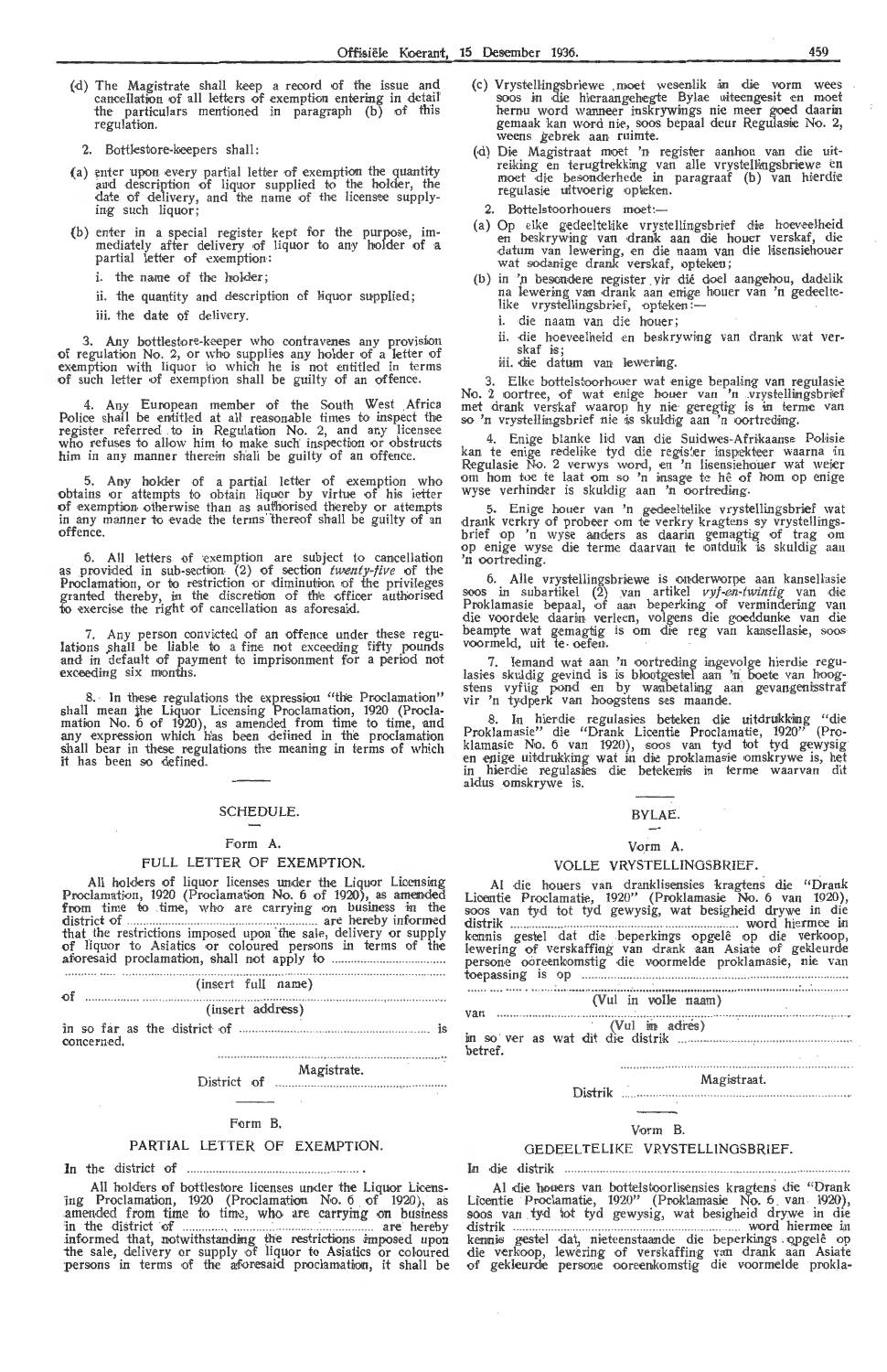(d) The Magistrate shall keep a record of the issue and cancellation of all letters of exemption entering in detail the particulars mentioned in paragraph (b) of this regulation.

2. Bottlestore-keepers shall:

- (a) enter upon every partial letter of exemption the quantity and description of liquor supplied to the holder, the date of delivery, and the name of the licensee supplying such liquor;
- (b) enter in a special register kept for the purpose, im-<br>- mediately after delivery of liquor to any holder of a partial letter of exemption:
	- i. the name of the holder;
	- ii. the quantity and description of liquor supplied;
	- iii. the date of delivery.

3. Any bottlestore-keeper who contravenes any provision of regulation No. 2, or who supplies any holder of a letter of exemption with liquor to which he is not entitled in terms<br>of such letter of exemption shall be guilty of an offence.

4. Any European member of the South West Africa Police shall be entitled at all reasonable times to inspect the register referred to in Regulation No. 2, and any licensee<br>who refuses to allow him to make such inspection or obstructs him in any manner therein shall be guilty of an offence.

5. Any holder of a partial letter of exemption who obtains or attempts to obtain liquor by virtue of his letter of exemption otherwise than as authorised thereby or attempts in any manner to evade the terms "thereof shall be guilty of an offence.

6. All letters of exemption are subject to cancellation as provided in sub-section (2) of section *twenty-five* of the Proclamation, or to restriction or diminution of the privileges granted thereby, in the discretion of the officer authorised to exercise the right of cancellation as aforesaid.

7. Any person convicted of an offence under these regulations shall be liable to a fine not exceeding fifty pounds<br>and in default of payment to imprisonment for a period not exceeding six months.

8. In these regulations the expression "the Proclamation" shall mean the Liquor Licensing Proclamation, 1920 (Proclamation No. 6 of 1920), as amended from time to time, and any expression which has been defined in the proclamation shall bear in these regulations the meaning in terms of which it has been so defined.

## SCHEDULE.

#### Form A.

#### FULL LETTER OF EXEMPTION.

All holders of liquor licenses under the Liquor Licensing Proclamation, 1920 (Proclamation No. 6 of 1920), as amended from time to time, who are carrying on business in the district of . are hereby informed that the restrictions imposed upon the sale, delivery or supply of liquor to Asiatics or coloured persons in terms of the aforesaid proclamation, shall not apply to .................. .

| of |                  | (insert full name) |  |  |  |
|----|------------------|--------------------|--|--|--|
|    | (insert address) |                    |  |  |  |
|    |                  |                    |  |  |  |

concerned.

District of ... Magistrate.

#### $\sim$ Form B.

#### PARTIAL LETTER OF EXEMPTION.

1n the district of

All holders of bottlestore licenses under the Liquor Licensing Proclamation, 1920 (Proclamation No. 6 of 1920), as amended from time to time, who are carrying on business in the -district of .. ......... \_ .. ... . . . ... .. . .. .. .. . . .. are hereby informed that, notwithstanding the restrictions imposed upon<br>the sale, delivery or supply of liquor to Asiatics or coloured persons in terms of the aforesaid proclamation, it shall be

- (c) Vrystellingsbriewe ,moet wesenlik in die vorm wees<br>soos in die hieraangehegte Bylae uiteengesit en moet hernu word wanneer inskrywings nie meer goed daarin gemaak kan word nie, soos bepaal deur Regulasie No. 2,<br>weens gebrek aan ruimte.
- (d) Die Magistraat moet 'n register aanhou van die uitreiking en terugtrekking van alle vrystellingsbriewe en<br>moet die besonderhede in paragraaf (b) van hierdie regulasie uitvoerig opteken.
- 2. Bottelstoorhouers moet:-
- (a) Op elke gedeeltelike vrystellingsbrief die hoeveelheid en beskrywing van drank aan die houer verskaf, die<br>•datum van lewering, en die naam van die lisensiehouer wat sodanige drank verskaf, opteken;
- (b) in 'n besondere register vir dié doel aangehou, dadelik na lewering van drank aan enige houer van 'n gedeeltena lewering van drank aan emge<br>like vrystellingsbrief, opteken:--
	- i. die naam van die houer;
	- ii. die hoeveelheid en beskrywing van drank wat verit. end noeveelheid en beskip<br>skaf is;<br>iii. die datum van lewering.

3. Elke bottelstoorhouer wat enige bepaling van regulasie<br>No. 2 oortree, of wat enige houer van 'n vrystellingsbrief<br>met drank verskaf waarop hy nie geregtig is in terme van<br>so 'n vrystellingsbrief nie is skuldig aan 'n oo

4. Enige blanke lid van die Suidwes-Afrikaanse Polisie kan te enige redelike tyd die register inspekteer waarna in Regulasie No. 2 verwys word, en 'n lisensiehouer wat weier om hom toe te laat om so 'n insage te hê of hom op enige wyse verhinder is skuldig aan 'n oortreding.

5. Enige houer van 'n gedeeltelike vrystellingsbrief wat drank verkry of probeer om te verkry kragtens sy vrystellingsbrief op 'n wyse anders as daarin gemagtig of trag om<br>op enige wyse die terme daarvan te ontduik is skuldig aan<br>'n oortreding.

6. Alle vrystellingsbriewe is onderworpe aan kansellasie soos in subartikel (2) van artikel *vyf-en-twintig* van die Proklamasie bepaal, of aan beperking of vermindering van<br>die voordele daarin, verleen, volgens die goeddunke van die beampte wat gemagtig is om die reg van kansellasie, soos<br>voormeld, uit te oefen.

7. Iemand wat aan 'n oortreding ingevolge hierdie regulasies skuldig gevind is is blootgestel aan 'n boete van hoog-<br>stens vyftig pond en by wanbetaling aan gevangenisstraf vir 'n tydperk van hoogstens ses maande.

8. In hierdie regulasies beteken die uitdruikking "die<br>Proklamasie" die "Drank Licentie Proclamatie, 1920" (Proklamasie No. 6 van 1920), soos van tyd tot tyd gewysig<br>en enige uitdrukking wat in die proklamasie omskrywe is, het in hierdie regulasies die betekenis in terme waarvan dit aldus omskrywe is.

#### BYLAE.

#### Vorm A.

#### VOLLE VRYSTELLINOSBRIEF.

Al die houers van dranklisensies kragtens die "Drank Licentie Proclamatie, 1920'' (Proklamasie No. 6 van 1920),<br>soos van tyd tot tyd gewysig, wat besigheid drywe in die distrik ... .............. ... . .... ....... . . ... ...... word hiermee in kennis gestel dat die beperkings opgelê op die verkoop, lewering of verskaffing van drank aan Asiate of gekleurde persone ooreenkomstig die voormelde proklamasie, nie van toepassing is ,op

(Vu! in voile naam) van ... .... .............. .. (Vu! h1, adres) in so ver as wat dit die distrik ......

betref.

#### Magistraat.

#### Distrik ...................

#### V,orm B.

#### OEDEELTELIKE VRYSTELLINOSBRIEF.

In die distrik ... ...

Al die houers van bottelstoorlisensies kragtens die "Drank Licentie Proclamatie, 1920" (Proklamasie No. 6 van 1920), soos van ty,d l!ot tyd gewysig, wat besigheid drywe in die distrik .............. ... .. .. . . .. ..... ... ... . word hiermee in kennis gestel dat, nieteenstaande die beperkings . opgelê op die verkoop, lewering of verskaffing van drank aan Asiate<br>of gekleurde persone ooreenkomstig die voormelde prokla-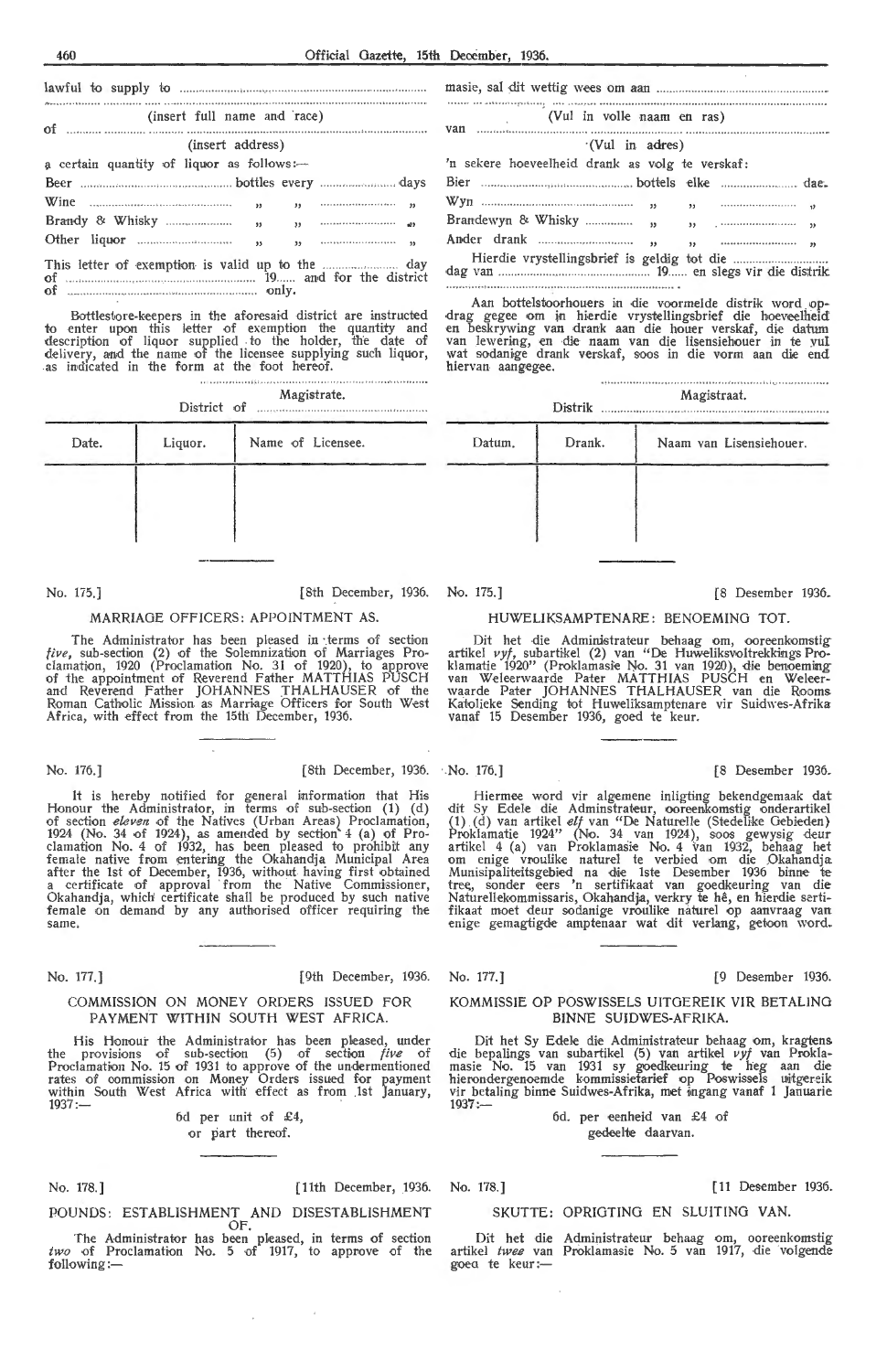## lawful fo supply to masie, sal -dit wettig wees om aan of (insert full name and ·race) (Vul in voile naam en ras) van (insert address) a certain quantity of liquor as follows:-Beer . bottles every ... days Bier ....... bottels -elke dae. Wine  $\frac{1}{2}$  Whisky  $\frac{1}{2}$   $\frac{1}{2}$   $\frac{1}{2}$   $\frac{1}{2}$   $\frac{1}{2}$   $\frac{1}{2}$   $\frac{1}{2}$   $\frac{1}{2}$   $\frac{1}{2}$   $\frac{1}{2}$   $\frac{1}{2}$   $\frac{1}{2}$   $\frac{1}{2}$   $\frac{1}{2}$   $\frac{1}{2}$   $\frac{1}{2}$   $\frac{1}{2}$   $\frac{1}{2}$   $\frac{1}{2}$   $\frac{1}{2}$ Brandy & Whisky " ,, .,, Other liquor " " This letter of exemption is valid up to the  $\frac{1}{2}$  day of  $\frac{1}{2}$  and for the district of . .. . ....... ....... 19. . and for the district

Bottlestore-keepers in the aforesaid district are instructed<br>to enter upon this letter of exemption the quantity and description of liquor supplied to the holder, the date of de livery, and the name of the licensee supplying such liquor, as indicated in the form at the foot hereof.

of ....... . only.

|             | Magistrate. |  |  |  |  |
|-------------|-------------|--|--|--|--|
| District of |             |  |  |  |  |

| Liquor. | Name of Licensee. |
|---------|-------------------|
|         |                   |
|         |                   |
|         |                   |

No. 175.] [8th December, 1936. No. 175.] (8 Desember 1936.

#### MARRIAGE OFFICERS: APPOINTMENT AS.

The Administrator has been pleased in terms of section *five*, sub-section (2) of the Solemnization of Marriages Pro-<br>clamation, 1920 (Proclamation No. 31 of 1920), to approve of the appointment of Reverend Father MATTHIAS PUSCH and Reverend Father JOHANNES THALHAUSER of the Roman Catholic Mission as Marriage Officers for South West Africa, with effect from the 15th December, 1936.

It is hereby notified for general information that His<br>Honour the Administrator, in terms of sub-section (1) (d) of section *eleven* of the Natives (Urban Areas) Proclamation, 1924 (No. 34 of 1924), as amended by section 4 (a) of Pro-<br>clamation No. 4 of 1932, has been pleased to prohibit any female native from entering the Okahandja Municipal Area after the 1st of December, 1936, without having first obtained<br>a certificate of approval from the Native Commissioner, Okahandja, which certificate shall be produced by such native female on demand by any authorised officer requiring the same.

#### No. 177.] [9th December, 1936. No. 177.] [9 Desember 1936.

#### COMMISSION ON MONEY ORDERS ISSUED FOR PAYMENT WITHIN SOUTH WEST AFRICA.

His Honour the Administrator has been pleased, under the provisions of sub-section (5) of section *five* of Proclamation No. 15 of 1931 to approve of the undermentioned rates of commission on Money Orders issued for payment within South West Africa with effect as from 1st January,  $1937: -$ 

6d per unit of  $£4$ , or part thereof.

No. 178.)

[11th December, 1936.

#### POUNDS: ESTABLISHMENT AND DISESTABLISHMENT OF.

The Administrator has been pleased, in terms of section *two* of Proclamation No. 5 of 1917, to approve of the following:-

| $\label{def:1} \begin{minipage}[t]{0.9\textwidth} \centering \begin{minipage}[t]{0.9\textwidth} \centering \begin{minipage}[t]{0.9\textwidth} \centering \end{minipage}[t]{0.9\textwidth} \centering \begin{minipage}[t]{0.9\textwidth} \centering \end{minipage}[t]{0.9\textwidth} \centering \begin{minipage}[t]{0.9\textwidth} \centering \end{minipage}[t]{0.9\textwidth} \centering \begin{minipage}[t]{0.9\textwidth} \centering \end{minipage}[t]{0.9\textwidth} \centering \begin{minipage}[t]{0.9\textwidth} \centering \end{min$<br>(Vul in volle naam en ras) |  |  |  |  |  |  |
|--------------------------------------------------------------------------------------------------------------------------------------------------------------------------------------------------------------------------------------------------------------------------------------------------------------------------------------------------------------------------------------------------------------------------------------------------------------------------------------------------------------------------------------------------------------------------|--|--|--|--|--|--|
| <b>Van</b> <i>member member member member member member member member member member member member member member member member member member member member member member member member member member member member member member membe</i><br>$\cdot$ (Vul in adres)                                                                                                                                                                                                                                                                                                      |  |  |  |  |  |  |
| 'n sekere hoeveelheid drank as volg te verskaf:                                                                                                                                                                                                                                                                                                                                                                                                                                                                                                                          |  |  |  |  |  |  |
|                                                                                                                                                                                                                                                                                                                                                                                                                                                                                                                                                                          |  |  |  |  |  |  |
|                                                                                                                                                                                                                                                                                                                                                                                                                                                                                                                                                                          |  |  |  |  |  |  |
|                                                                                                                                                                                                                                                                                                                                                                                                                                                                                                                                                                          |  |  |  |  |  |  |
|                                                                                                                                                                                                                                                                                                                                                                                                                                                                                                                                                                          |  |  |  |  |  |  |
|                                                                                                                                                                                                                                                                                                                                                                                                                                                                                                                                                                          |  |  |  |  |  |  |

Aan bottelstoorhouers in die voormelde distrik word op-<br>drag gegee om in hierdie vrystellingsbrief die hoeveelheid<br>en beskrywing van drank aan die houer verskaf, die datum<br>van lewering, en die naam van die lisensiehouer in wat sodanige drank verskaf, soos in die vorm aan die end hiervan aangegee.

|        | Distrik | <b></b><br>Magistraat.  |
|--------|---------|-------------------------|
| Datum. | Drank.  | Naam van Lisensiehouer. |
|        |         |                         |
|        |         |                         |
|        |         |                         |

#### HUWELIKSAMPTENARE: BENOEMING TOT.

Dit het die Administrateur behaag om, ooreenkomstig artikel vyf, subartikel (2) van "De Huweliksvoltrekkings Proklamatie 1920" (Proklamasie No. 31 van 1920), die benoeming<br>van Weleerwaarde Pater MATTHIAS PUSCH en Weleerwaarde Pater JOHANNES THALHAUSER van die R!ooms Katolieke Sending tot Huweliksamptenare vir Suidwes-Afrika vanaf 15 Desember 1936, goed te keur.

No. 176.] (8th December, 1936. No. 176.] (8 Desember 1936.

Hiermee word vir algemene inligting bekendgemaak dat dit Sy Edele die Adminstrateur, ooreenkomstig onderartikel<br>(1) (d) van artikel *elf* van "De Naturelle (Stedelike Gebieden) Proklamatie 1924" (No. 34 van 1924), soos gewysig deur artikel 4 (a) van Proklamasie No. 4 van 1932, behaag het<br>om enige vroulike naturel te verbied om die Okahandja: Munisipaliteitsgebied na die 1ste Desember 1936 binne te tree, sonder eers 'n sertifikaat van goedkeuring van die<br>Naturellekommissaris, Okahandja, verkry te hê, en hierdie sertifikaat moet deur sodanige vroulike naturel op aanvraag van<br>enige gemagtigde amptenaar wat dit verlang, getoon word.

#### KOMMISSIE OP POSWISSELS UITOEREIK VIR BETALING BINNE SUIDWES-AFRIKA.

Dit het Sy Edele die Administrateur behaag om, kragtens die bepalings van subartikel (5) van artikel vyf van Proklamasie No. 15 van 1931 sy goedkeuring te heg aan die hierondergenoemde kommissietarief op Poswissels uitgereik vir betaling binne Suidwes-Afrika, met ingang vanaf 1 Januarie  $1937$  :-- 6d. per eenheid van £4 of

gedeelte daarvan.

No. 178.] [ 11 Desember 1936.

SKUTTE: OPRIGTING EN SLUITING VAN.

Dit het die Administrateur behaag om, ooreenkomstig artikel *twee* van Proklamasie No. 5 van 1917, die volgende goea te keur :-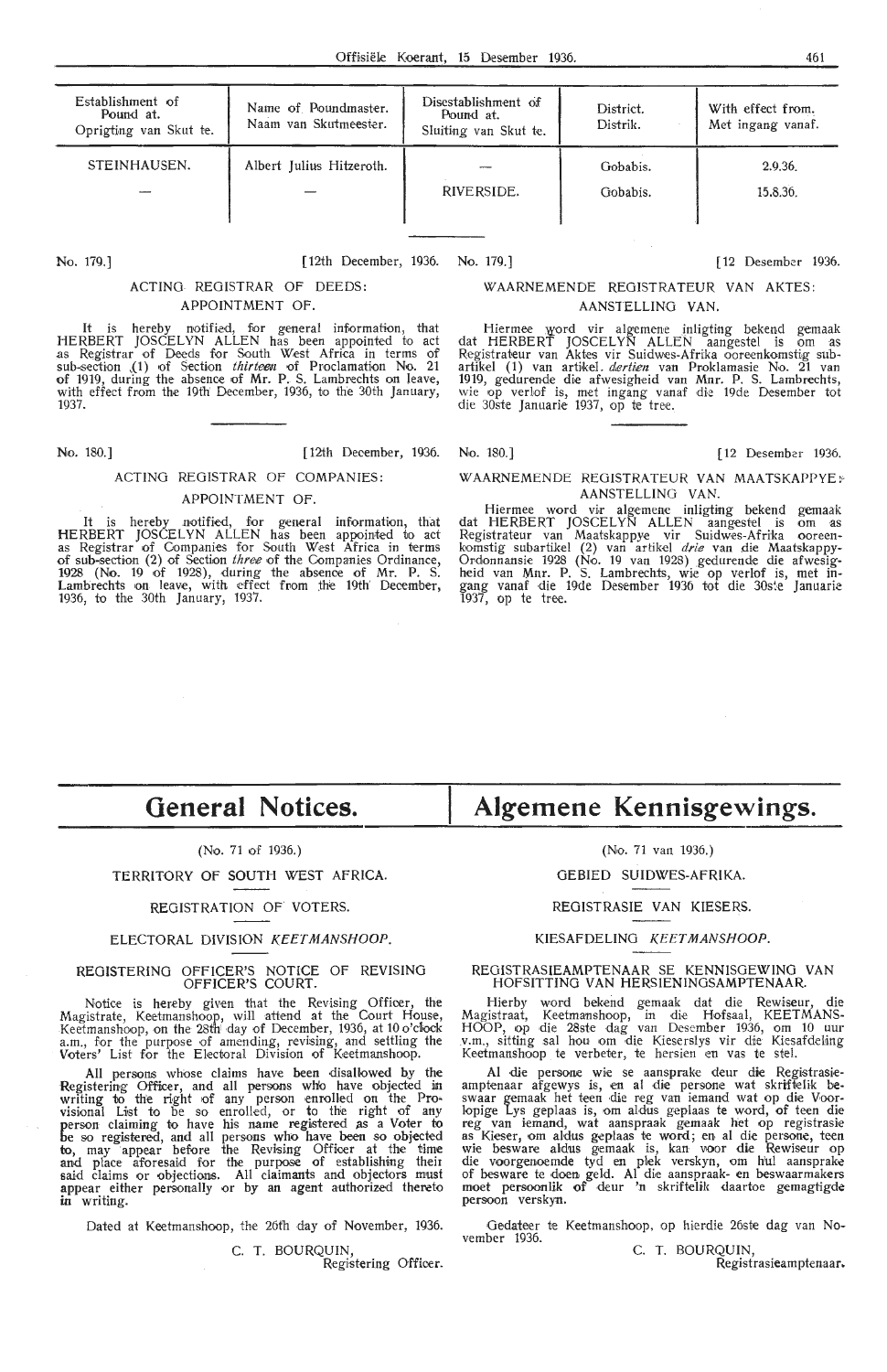| Establishment of<br>Pound at.<br>Oprigting van Skut te. | Name of Poundmaster.<br>Naam van Skutmeester. | Disestablishment of<br>Pound at.<br>Sluiting van Skut te. | District.<br>Distrik. | With effect from.<br>Met ingang vanaf. |
|---------------------------------------------------------|-----------------------------------------------|-----------------------------------------------------------|-----------------------|----------------------------------------|
| STEINHAUSEN.                                            | Albert Julius Hitzeroth.                      |                                                           | Gobabis.              | 2.9.36                                 |
|                                                         |                                               | RIVERSIDE.                                                | Gobabis.              | 15.8.36.                               |

#### No. 179.] [12th December, 1936. No. 179.] [ 12 Desember 1936.

#### ACTING REGISTRAR OF DEEDS: APPOINTMENT OF.

It is hereby notified, for general information, that HERBERT JOSCELYN ALLEN has been appointed to act as Registrar of Deeds for South West Africa in terms of sub-section (1) of Section *thirteen* of Proclamation No. 21 of 1919, during the absence of Mr. P. S. Lambrechts on leave, with effect from the 19th' December, 1936, to the 30th January, 1937.

No. 180.] [ 12th December, 1936. No. 180.] [ 12 Desember 1936.

### ACTING REGISTRAR OF COMPANIES:

#### APPOINTMENT OF.

It is hereby notified, for general information, that HERBERT JOSCELYN ALLEN has been appointed to act as Registrar of Companies for South West Africa in terms of subssection (2) of Section *three* of the Companies Ordinance, 1928 (No. 19 of 1928), during the absence of Mr. P. S. Lambrechts on leave, with effect from the 19th December, 1936, to the 30th January, 1937.

## WAARNEMENDE REGISTRATEUR VAN AKTES:

#### AANSTELLINO VAN.

Hiermee word vir algemene inligting bekend gemaak dat HERBERT JOSCELYN ALLEN aangestel is om as Registrateur van Aktes vir Suidwes-Afrika ooreenkomstig subartikel (1) van artikel*. dertien* van Proklamasie No. 21 van<br>1919, gedurende die afwesigheid van Mnr. P. S. Lambrechts, wie op verlof is, met ingang vanaf die 19de Desember tot die 30ste Januarie 1937, op te tree.

#### WAARNEMENDE REGISTRATEUR VAN MAATSKAPPYE; AANSTELLING VAN.

Hiermee word vir algemene inligting bekend gemaak dat HERBERT JOSCELYN ALLEN aangestel is om as<br>Registrateur van Maatskappye vir Suidwes-Afrika ooreenkomstig subartikel (2) van artikel drie van die Maatskappy-Ordonnansie 1928 (No. 19 van 1928) gedurende die afwesigheid van Mnr. P. S. Lambrechts, wie op verlof is, met ingang vanaf die 19de Desember 1936 tot die 30ste Januarie 1937, op te tree.

## **General Notices.**

#### (No. 71 of 1936.)

#### TERRITORY OF SOUTH WEST AFRICA.

#### REGISTRATION OF VOTERS.

#### ELECTORAL DIVISION KEETMANSHOOP.

#### REGISTERING OFFICER'S NOTICE OF REVISING OFFICER'S COURT.

Notice is hereby given that the Revising Officer, the<br>Magistrate, Keetmanshoop, will attend at the Court House, Keetmanshoop, on the 28th day of December, 1936, at 10 o'clock a.m., for the purpose of amending, revising, and settling the Voters' List for the Electoral Division of Keetmanshoop.

All persons whose claims have been disallowed by the Registering Officer, and all persons who have objected in<br>writing to the right of any person enrolled on the Provisional List to be so enrolled, or to the right of any person claiming to have his name registered as a Voter to be *w* registered, and all persons who have been so objected to, may appear before the Revising Officer at the time<br>and place aforesaid for the purpose of establishing their<br>said claims or objections. All claimants and objectors must appear either personally or by an agent authorized thereto in writing.

Dated at Keetmanshoop, the 26th day of November, 1936.

C. T. BOURQUIN, Registering Officer.

# **Algemene Kennisgewings.**

(No. 71 van 1936.)

OEBIED SUIDWES-AFRIKA.

REGISTRASIE VAN KIESERS.

#### KIESAFDELING KEETMANSHOOP.

#### REGISTRASIEAMPTENAAR SE KENNISGEWING VAN HOFSITTING VAN HERSIENINGSAMPTENAAR.

Hierby word bekend gemaak dat die Rewiseur, die Magistraat, Ke•etmanshoop, in die Hofsaal, KEETMANS-HOOP, op die 28ste dag van Desember 1936, om 10 uur<br>v.m., sitting sal hou om die Kieserslys vir die Kiesafdeling Keetmanshoop te verbeter, te hersien en vas te stel.

Al die persone wie se aansprake deur die Registrasieamptenaar afgewys is, en al die persone wat skriftelik be-<br>swaar gemaak het teen die reg van iemand wat op die Voor-Iopige Lys geplaas is, om al-dus geplaas te word, of teen die reg van iemand, wat aanspraak gemaak het op registrasie<br>as Kieser, om aldus geplaas te word; en al die persone, teen wie besware aldus gemaak is, kan voor die Rewiseur op die voorgenoemde tyd en plek verskyn, om hul aansprake of besware te doen geld. Al die aanspraak- en beswaarmakers moet persoonlik of deur 'n skriftelik <laartoe gemagtigde persoon verskyn.

Oedateer te Keetmanshoop, op hierdie 26ste dag van November 1936.

C. T. BOURQUIN,

Registrasieamptenaar.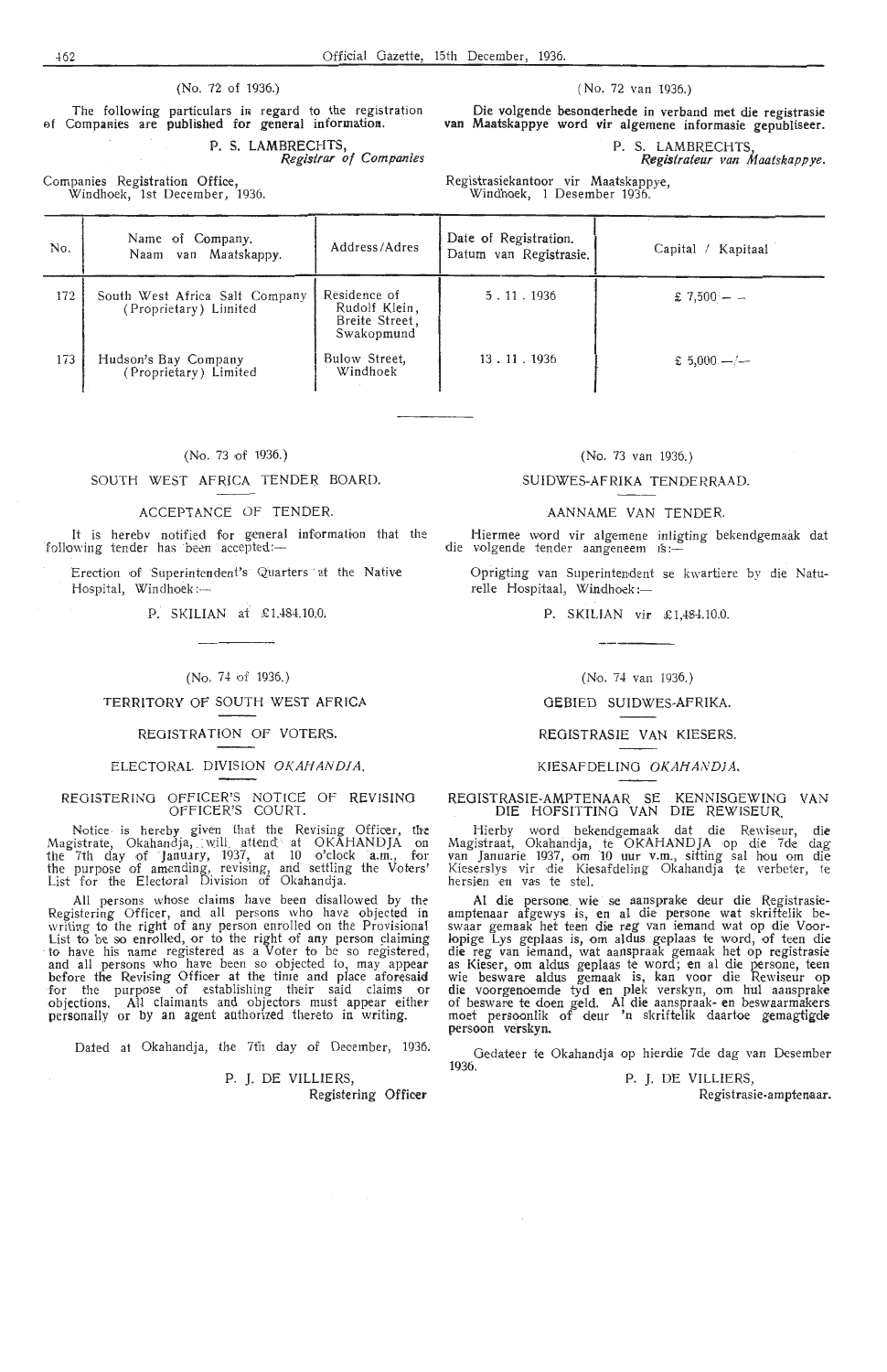#### (No. 72 of 1936.)

The following particulars in regard to the registration of Companies are published for general information. P. S. LAMBRECHTS, *Registrar of Companies* 

Companies Registration Offioe, Windhoek, 1st December, 1936. ( No. 72 van 1936.)

Die volgende besoncterhede in verband met die registrasic van Maatskappye word vir algemene informasie gepubliseer.

P. S. LAMBRECHTS

**Registrateur** *van Maatskappye.* 

Registrasiekantoor vir Maatskappye, Windhoek, 1 Desember 1936.

No. Name of Company. No. Naam van Maatskappy. Address/Adres 172 | South West Africa Salt Company | Residence of (Proprietary) Limited Rudolf Klein, Breite Street, Swakopmund 173 Hudson's Bay Company Bulow Street,<br>
(Proprietary) Limited Windhoek ason's Bay Company Date of Registration.<br>Datum van Registrasie. Capital / Kapitaal  $5 \t11 \t1936$   $\frac{1}{2} \t13 \t11$ 13 . 11 . 1936  $\frac{1}{2}$   $\frac{1}{2}$   $\frac{5000}{1}$ 

(No. 73 of 1936.)

#### SOUTH WEST AFRICA TENDER BOARD.

#### ACCEPTANCE Of TENDER.

It is herebv notified for general information that the following tender has been accepted:-

Erection of Superintendent's Quarters at the Native Hospital, Windhoek:-

P. SKILIAN at £1.484.10.0,

#### (No. 74 of 1936.)

#### TERRITORY OF SOUTH WEST AFRICA

#### REGISTRATION OF VOTERS.

#### ELECTORAL DIVISION OKAHANDJA

REGISTERING OFFICER'S NOTICE OF REVISING OFFICER'S COUR1.

Notice is hereby given that the Revising Officer, the Magistrate, Okahandja, will attend at OKAHANDJA on the 7th day of January, 1937, at 10 o'clock a.m., for the purpose of amending, revising, and settling the Voters' List for the Electoral Division of Okahandja.

All persons whose claims have been disallowed by the Registering Officer, and all persons who have objected in writing to the right of any person enrolled on the Provisional List to be so enrolled, or to the right of any person claiming to have his name registered as a Voter to be so registered, and all persons who have been so objected to, may appear before the Revising Officer at the time and place aforesaid for the purpose of establishing their said claims or objections. All claimants and objectors must appear either personally or by an agent authorized thereto in writing

Dated at Okahandja, the 7th day of December, 1936

P. J. DE VILLIERS

Registering Officer

1936.

## (No. 73 van 1936.)

#### SUIDWES-AFRlKA TENDERRAAD.

#### AANNAME VAN TENDER.

Hiermee word vir algemene inligting bekendgemaak dat die volgende tender aangeneem 1s:-

Oprigting van Superintendent se kwartiere by die Natu $relle$  Hospitaal, Windhoek :-

P. SKILJAN vir  $£1,484,10.0$ 

(No. 74 van 1936.)

#### GEBIED SUIDWES-AFRIKA.

#### REOISTRASIE VAN KIESERS.

#### KIESAFDELING OKAHANDIA

REOISTRASIE-AMPTENAAR SE KENNISGEWINO VAN DIE HOFSITTINO VAN DIE REWISEUR.

Hierby word bekendgemaak dat die Rewiseur, die<br>Magistraat, Okahandja, te OKAHAND JA op die 7de dag<br>van Januarie 1937, om 10 uur v.m., sitting sal hou om die Kieserslys vir die Kiesafdeling Okahandja te verbeter, te hersien en vas te stel.

Al die persone wie se aansprake deur die Registrasieamptenaar afgewys is, en al die persone wat skriftelik be-<br>swaar gemaak het teen die reg van iemand wat op die Voorlopige Lys geplaas is, om aldus geplaas te word, of teen die die reg van iemand, wat aanspraak gemaak het op registrasie as Kieser, om aldus geplaas te word; en al die. persone, teen wie besware aldus gemaak is, kan voor die Rewiseur op die voorgenoemde tyd en plek verskyn, om hul aansprake of besware te doen geld. **Al** die aanspraak- en beswaarmakers moet persoonlik of deur 'n s'kriftelik daartoe gemagtigde persoon verskyn.

Gedateer te Okahandia op hierdie 7de dag van Desember

P. J, DE VILLIERS,

Registrasie-amptenaar.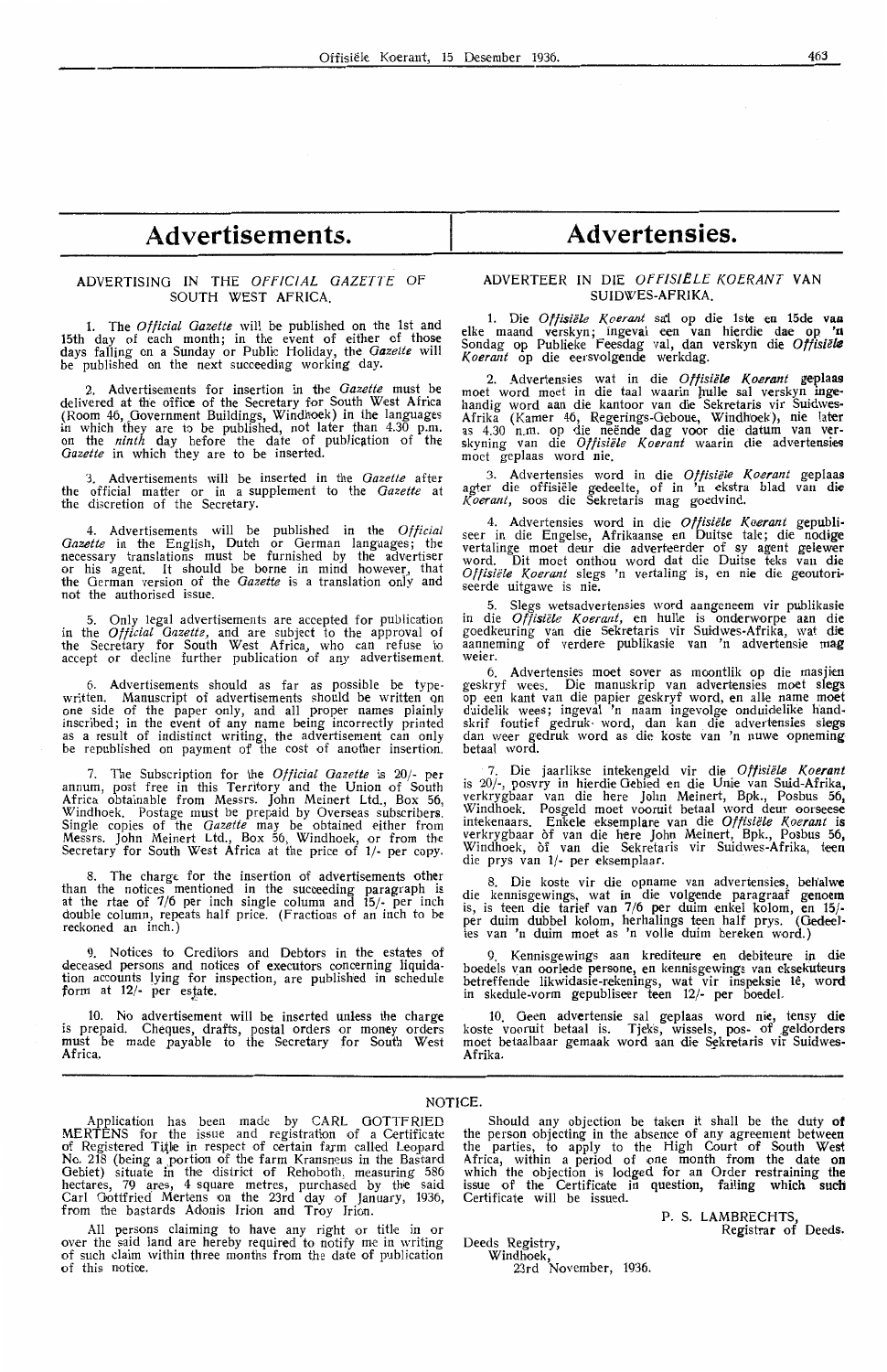# **Advertisements. Advertensies.**

#### ADVERTISING IN THE OFFICIAL GAZETTE OF SOUTH WEST AFRICA.

1. The *Official Gazette* will be published on the 1st and 15th day of each month; in the event of either of those days falling on a Sunday or Public Holiday, the *Gazette* will be published on the next succeeding working day.

2. Advertisements for insertion in the *Gazette* must be delivered at the office of the Secretary for South West Africa (Room 46, Government Buildings, Windhoek) in the languages in which they are to be published, not later than 4.30 p.m. on the *ninth* day before the date of publication of the *Gazette* in which they are *to* be inserted.

3. Advertisements will be inserted in the *Gazette* after the official matter or in a supplement to the *Gazette* at the discretion of the Secretary.

4. Advertisements will be published in the *Official Gazette* in the English, Dutch or German languages; the necessary translations must be furnished by the advertiser<br>or his agent. It should be borne in mind however, that the German version of the *Gazette* is a translation onlv and not the authorised issue.

5. Only legal advertisements are accepted for publication in the *Official Gazette,* and are subject to the approval of the Secretary for South West Africa, who can refuse to accept or decline further publication of any advertisement.

6. Advertisements should as far as possible be typewritten. Manuscript of advertisements should be written on<br>one side of the paper only, and all proper names plainly inscribed; in the event of any name being incorrectly printed as a result of indistinct writing, the advertisement can only be republished on payment of the cost of another insertion,

7. The Subscription for the *Official Gazette* is 20/- per annum, post free in this Territory and the Union of South Africa obtainable from Messrs. John Meinert Ltd., Box 56, Windhoek. Postage must be prepaid by Overseas subscribers. Single copies of the *Gazette* may be obtained either from Messrs. John Meinert Ltd., Box 56, Windhoek, or from the Secretary for South West Africa at the price of 1/- per copy.

8. The charge for the insertion of advertisements other than the notices mentioned in the succeeding paragraph is at the rtae of 7/6 per inch single column and 15/- per inch double column, repeats half price. (Fractions of an inch to be reckoned an inch.)

9. Notices to Creditors and Debtors in the estates of deceased persons and notices of executors concerning liquidation accounts lying for inspection, are published in schedule form at **12/-** per es\_tate.

10. No advertisement will be inserted unless the charge is prepaid. Cheques, drafts, postal orders or money orders must be made payable to the Secretary for South West Africa.

#### ADVERTEER IN DIE OFFISIELE KOERANT VAN SUIDWES-AFRIKA.

1. Die *Offisiele K.oerant* sa'i op die lste en 15de **vu** elke maand verskyn; ingeval een van hierdie dae op **'n**  Sondag op Publieke feesdag val, dan verskyn die *Offisiele K.oerant* op die eersvolgende werkdag.

2. Advertensies wat in die *Offisiële Koerant* geplaas moet word moet in die taal waarin hulle sal verskyn ingehandig word aan die kantoor van die Sekretaris vir Suidwes-Afrika (Kamer 46, Regerings-Geboue, Windhoek), nie later<br>as 4.30 n.m. op die neënde dag voor die datum van ver-<br>skyning van die *Offisiële Koerant* waarin die advertensies moet geplaas word nie.

3. Advertensies word in die Offisiële Koerant geplaas agter die offisiele gedeelte, of in 'n ekstra blad van **die**  *l(oerant,* soos die Sekretaris mag goedvind.

4. Advertensies word in die *Offisiële Koerant* gepubli-<br>seer in die Engelse, Afrikaanse en Duitse tale; die nodige vertalinge moet deur die adverteerder of sy agent gelewer word. Dit moet onthou word dat die Duitse teks van die Offisiële Koerant slegs 'n vertaling is, en nie die geoutoriseerde uitgawe is nie.

5. Slegs wetsadvertensies word aangeneem vir publikasie in die *Offisiële Koerant*, en hulle is onderworpe aan die goedkeuring van die Sekretaris vir Suidwes-Afrika, wat **die**  aanneming of verdere publikasie van 'n advertensie mag weier. weier.

6. Advertensies moet sover as moontlik op die masjien geskryf wees. Die manuskrip van advertensies moet slegs op een kant van die papier geskryf word, **en** alle name **moet**  duidelik wees; ingeval 'n naam ingevolge onduidelike handskrif foutief gedruk• word, dan kan die advertensies slegs dan weer gedruk word as die koste van 'n nuwe opneming betaal word.

7. Die jaarlikse intekengeld vir die Offisiële Koerant is 20/-, posvry in hierdie Oebied en die Unie van Suid-Afrika, verkrygbaar van die here John Meinert, Bpk., Posbus 56,<br>Windhoek. Posgeld moet vooruit betaal word deur oorseese intekenaars. Enkele eksemplare van die Offisiële Koerant is verkrygbaar of van die here John Meinert, Bpk., Posbus 56, Windhoek, of van die Sekretaris vir Suidwes-Afrika, teen die prys van 1/- per eksemplaar.

8. Die koste vir die opname van advertensies, **belialwe**  die kennisgewings, wat in die volgende paragraaf g**e**noem is, is teen die tarief van 7/6 per duim enkel kolom, en 15/per duim dubbel kolom, herhalings teen half prys. (Gedeettes van 'n duim moet as 'n voHe duim bereken word.)

9. Kennisgewings aan krediteure en debiteure in die boedels van oorlede persone, en kennisgewings van eksekuteurs betreffende likwidasie-rekenings, wat vir inspeksie lê, word in skedule-vorm gepubliseer teen 12/- per boedel.

10. Geen advertensie sal geplaas word nie, tensy die<br>koste vooruit betaal is. Tjeks, wissels, pos- of geldorders moet betaalbaar gemaak word aan die Sekretaris vir Suidwes-**Afrika.** 

NOTICE.

Application has been made by CARL GOTTFRIED MERTENS for the issue and registration of a Certificate<br>of Registered Title in respect of certain farm called Leopard No. 218 (being a portion of the farm Kransneus in the Bastard Gebiet) situate in the district of Rehoboth, measuring 586 hectares, 79 ares, 4 square metres, purchased by the said<br>Carl Gottfried Mertens on the 23rd day of January, 1936, from the bastards Adonis Irion and Troy Irion.

All persons claiming to have any right or title in or over the said land are hereby required to notify me in writing of such claim within three months from the date of publication of this notice.

Should any objection be taken it shall be the duty **of**  the person objecting in the absence of any agreement between the parties, to apply to the High Court of South West Africa, within a period of one month from the date on which the objection is lodged for an Order restraining the issue of the Certificate in question, failing which such Certificate will be issued.

P. S. LAMBRECHTS, Registrar of Deeds.

Deeds Registry, Windhoek,

23rd November, 1936.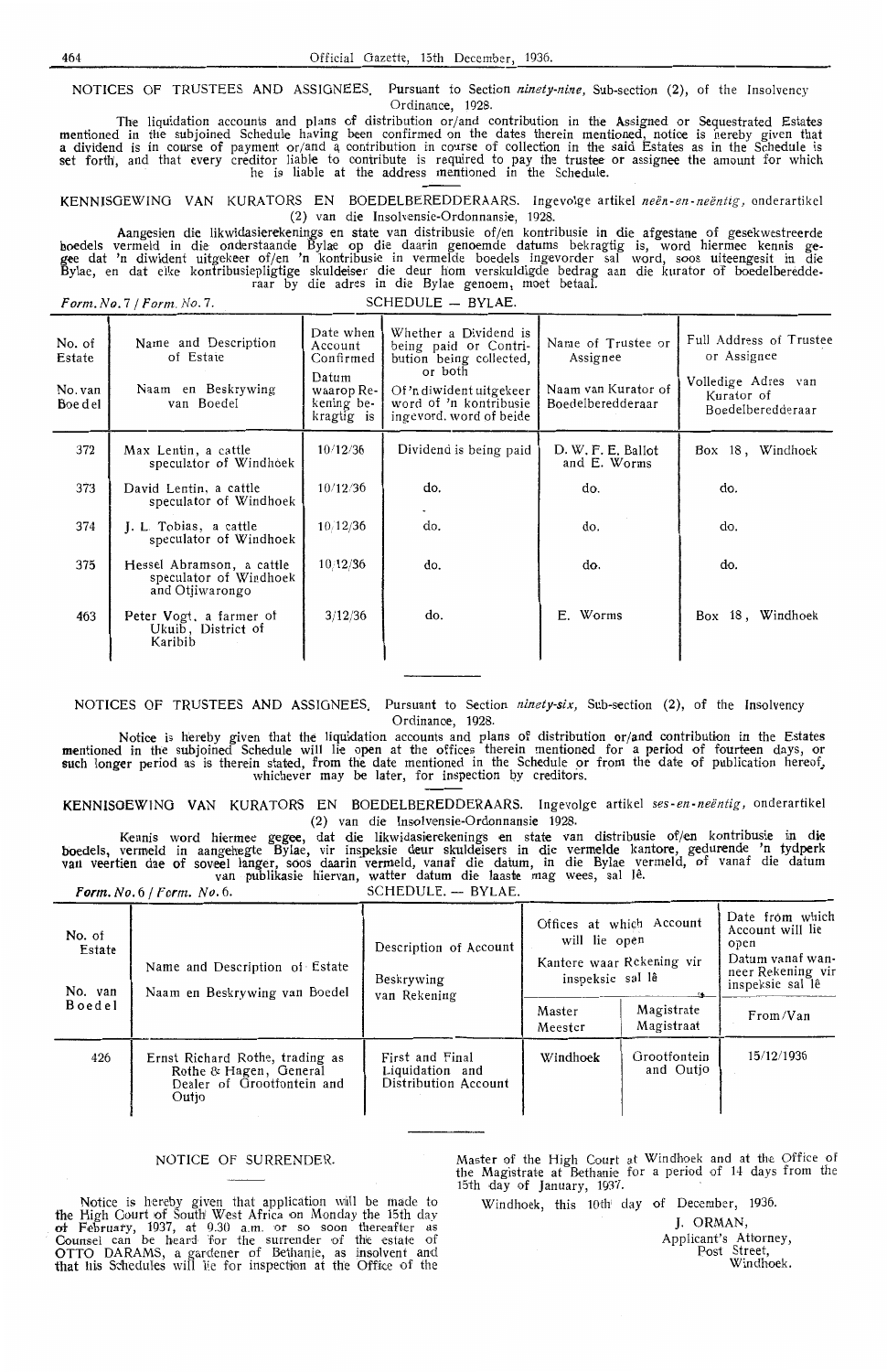NOTICES OF TRUSTEES AND ASSIGNEES, Pursuant to Section *ninety-nine,* Sub-section **(2),** of the Insolvency Ordinance, 1928.

The liquidation accounts and plans of distribution or/and contribution in the Assigned or Sequestrated Estates mentioned in the subjoined Schedule having been confirmed on the dates therein mentioned, notice is hereby given that<br>a dividend is in course of payment or/and a contribution in course of collection in the said Estates as set forth', and that every creditor liable to contribute is required to pay the trustee or assignee the amount for which he is liable at the address mentioned in the Schedule.

KENNISGEWINO VAN KURATORS EN BOEDELBEREDDERAARS. Ingevolge artikel *neen-en- neentig,* onderartikel (2) van die Insolvensie-Ordonnansie, 1928.

Aangesien die likwidasierekenings en state van distribusie of/en kontribusie in die afgestane of gesekwestreerde boedels vermeld in die onderstaande Bylae op die daarin genoemde datums bekragtig is, word hiermee kennis gegee dat 'n diwident uitgekeer of/en 'n kontribusie in vermelde boedels ingevorder sal word, soos uiteengesit in die Bylae, en dat elke kontribusiaepligtige skuldeiser die deur h'om verskuldigde bedrag aan die kurator of boedelberedde- raar by die adres in die Bylae genoem, moet betaal.

*Form. No.* 7 */Form.No.* 7. SCHEDULE - BYLAE.

|                                        | ~~~~~~~                                                                |                                                                                      |                                                                                                                                                                       |                                                                            |                                                                                                  |  |
|----------------------------------------|------------------------------------------------------------------------|--------------------------------------------------------------------------------------|-----------------------------------------------------------------------------------------------------------------------------------------------------------------------|----------------------------------------------------------------------------|--------------------------------------------------------------------------------------------------|--|
| No. of<br>Estate<br>No. van<br>Boe del | Name and Description<br>of Estate<br>Naam en Beskrywing<br>van Boedel  | Date when<br>Account<br>Confirmed<br>Datum<br>waarop Re-<br>kening be-<br>kragtig is | Whether a Dividend is<br>being paid or Contri-<br>bution being collected,<br>or both<br>Of 'n diwident uitgekeer<br>word of 'n kontribusie<br>ingevord, word of beide | Name of Trustee or<br>Assignee<br>Naam van Kurator of<br>Boedelberedderaar | Full Address of Trustee<br>or Assignee<br>Volledige Adres van<br>Kurator of<br>Boedelberedderaar |  |
| 372                                    | Max Lentin, a cattle<br>speculator of Windhoek                         | 10/12/36                                                                             | Dividend is being paid                                                                                                                                                | D. W. F. E. Ballot<br>and E. Worms                                         | Box 18, Windhoek                                                                                 |  |
| 373                                    | David Lentin, a cattle<br>speculator of Windhoek                       | 10/12/36                                                                             | do.                                                                                                                                                                   | do.                                                                        | do.                                                                                              |  |
| 374                                    | J. L. Tobias, a cattle<br>speculator of Windhoek                       | 10/12/36                                                                             | do.                                                                                                                                                                   | do.                                                                        | do.                                                                                              |  |
| 375                                    | Hessel Abramson, a cattle<br>speculator of Windhoek<br>and Otjiwarongo | 10/12/36                                                                             | do.                                                                                                                                                                   | do.                                                                        | do.                                                                                              |  |
| 463                                    | Peter Vogt, a farmer of<br>Ukuib, District of<br>Karibib               | 3/12/36                                                                              | do.                                                                                                                                                                   | E. Worms                                                                   | Box 18, Windhoek                                                                                 |  |
|                                        |                                                                        |                                                                                      |                                                                                                                                                                       |                                                                            |                                                                                                  |  |

NOTICES OF TRUSTEES **AND** ASSIGNEES, Pursuant to Section *ninety-six,* Sub-section **(2),** of the Insolvency Ordinanoe, 1928.

Notice is hereby given that *the* liquidation accounts and plans of distribution or/and contribution in the Estates mentioned in the subjoined Schedule will lie open at the offices therein mentioned for a period of fourteen days, or<br>such longer period as is therein stated, from the date mentioned in the Schedule or from the date of publ whichever may be later, for inspection by creditors.

KENNISGEWINO VAN KURATORS EN BOEDELBEREDDERAARS. Ingevolge artikel *ses-en-neentig,* onderartikel (2) van die Insolvensie-Ordonnansie 1928.

Kennis word hiermee gegee, dat die likwidasierekenings en state van distribusie of/en kontribusie in die boedels, vermeld in aangehegte Bylaé, vir inspeksie deur skuldeisers in die vermelde kantore, gedurende 'n tydperk<br>van veertien dae of soveel langer, soos daarin vermeld, vanaf die datum, in die Bylae vermeld, of vanaf die

Form. No. 6 / Form. No. 6. SCHEDULE. - BYLAE.

| No. of<br>Estate<br>No. van<br><b>Boedel</b> | Name and Description of Estate<br>Naam en Beskrywing van Boedel                                  | Description of Account<br>Beskrywing<br>van Rekening       | Offices at which Account<br>will lie open<br>Kantore waar Rekening vir<br>inspeksie sal lê | Date from which<br>Account will lie<br>open<br>Datum vanaf wan-<br>neer Rekening vir<br>inspeksie sal lê |            |
|----------------------------------------------|--------------------------------------------------------------------------------------------------|------------------------------------------------------------|--------------------------------------------------------------------------------------------|----------------------------------------------------------------------------------------------------------|------------|
|                                              |                                                                                                  |                                                            | Master<br>Meester                                                                          | Magistrate<br>Magistraat                                                                                 | From/Van   |
| 426                                          | Ernst Richard Rothe, trading as<br>Rothe & Hagen, General<br>Dealer of Grootfontein and<br>Outio | First and Final<br>Liquidation and<br>Distribution Account | Windhoek                                                                                   | Grootfontein<br>and Outjo                                                                                | 15/12/1936 |

Notice is hereby given that application will be made to the High Court of South West Africa on Monday the 15th day ot February, 1937, at 9.30 a.m. or so soon thereafter as Counsel can be heard 'for the surrender of the estate of OTTO DARAMS, a gardener of Bethanie, as insolvent and that his Schedules will lie for inspection at the Office of the

NOTICE OF SURRENDER. Master of the High Court at Windhoek and at the Office of the Magistrate at Bethanie for a period of 14 days from the 15th day of January, 1937.

Windhoek, this 10th' day of December, 1936.

J. ORMAN,

Applicant's Attorney, Post Street, Windhoek.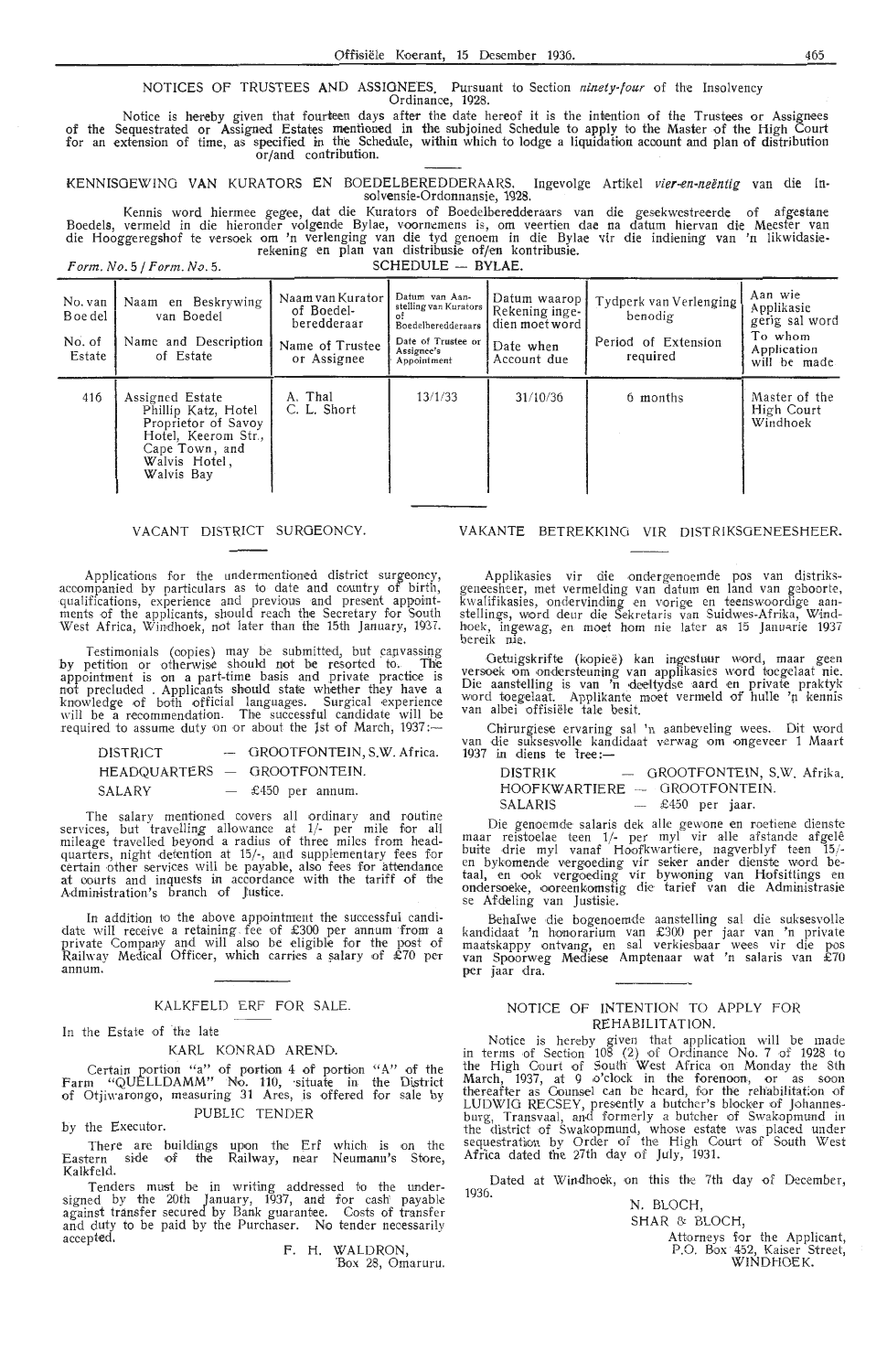#### NOTICES OF TRUSTEES **AND** ASSIGNEES. Pursuant to Section ninety-four of the Insolvency Ordinance, 1928.

of the for an Notice is hereby given that fourteen days after the date hereof it is the intention of the Trustees or Assignees Sequestrated or Assigned Estates mentioned in the subjoined Schedule to apply to the Master of the High Court extension of time, as specified in the Schedule, within which to lodge a liquidation account and plan of distribution or/and contribution.

KENNISGEWING V**A**N KURATORS EN BOEDELBEREDDERAARS. Ingevolge Artikel *vier-en-neëntig* van die In-<br>solv**e**nsie-Ordonnansie, 1928.

Kennis word hiermee gegee, dat die Kurators of Boedelberedderaars van die gesekwestreerde of afgestane Boedels, vermeld in die hieronder volgende Bylae, voornemens is, om veertien dae na datum hiervan die Meester van<br>die Hooggeregshof te versoek om 'n verlenging van die tyd genoem in die Bylae vir die indiening van 'n likwi

 $Form. No. 5 / Form. No. 5.$  SCHEDULE -- BYLAE.

| No. van<br>B oe del<br>No. of<br>Estate | Naam en Beskrywing<br>van Boedel<br>Name and Description<br>of Estate                                                                 | Naam van Kurator<br>of Boedel-<br>beredderaar<br>Name of Trustee<br>or Assignee | Datum van Aan-<br>stelling van Kurators<br><b>Boedelberedderaars</b><br>Date of Trustee or<br>Assignee's<br>Appointment | Datum waarop J<br>Rekening inge-<br>dien moet word<br>Date when<br>Account due | Tydperk van Verlenging<br>benodig<br>Period of Extension<br>required | Aan wie<br>Applikasie<br>gerig sal word<br>To whom<br>Application<br>will be made |
|-----------------------------------------|---------------------------------------------------------------------------------------------------------------------------------------|---------------------------------------------------------------------------------|-------------------------------------------------------------------------------------------------------------------------|--------------------------------------------------------------------------------|----------------------------------------------------------------------|-----------------------------------------------------------------------------------|
| 416                                     | Assigned Estate<br>Phillip Katz, Hotel<br>Proprietor of Savoy<br>Hotel, Keerom Str.,<br>Cape Town, and<br>Walvis Hotel,<br>Walvis Bay | A. Thal<br>C. L. Short                                                          | 13/1/33                                                                                                                 | 31/10/36                                                                       | 6 months                                                             | Master of the<br>High Court<br>Windhoek                                           |

#### VACANT DISTRICT SURGEONCY.

Applications for the undermentioned district surgeoncy, acoompanied by particulars as to date and country of birth, qualifications, experience and previous and present appointments of the applicants, should reach the Secretary for South West Africa, Windhoek, not later than the 15th January, 1937.

Testimonials (copies) may be submitted, but canvassing by petition or otherwise should not be resorted to. The appointment is on a part-time basis and private practice is not precluded . Applicants should state whether they have a knowledge of both official languages. Surgical experience will be a recommendation. The successful candidate will be required to assume duty on or about the 1st of March, 1937 :-

| DISTRICT | - GROOTFONTEIN, S.W. Africa. |
|----------|------------------------------|
|          | HEADQUARTERS - GROOTFONTEIN. |
| SALARY   | $-$ £450 per annum.          |

The salary mentioned covers all ordinary and routine services, but travelling allowance at  $1/-$  per mile for almileage travelled beyond a radius of three miles from head mileage travelled beyond a radius of three miles from head-<br>quarters, night detention at 15/-, and supplementary fees for<br>certain other services will be payable, also fees for attendance at courts and inquests in acoordanoe with the tariff of the Administration's branch of Justice.

In addition to the above appointment the successful candi-<br>date will receive a retaining fee of £300 per annum from a<br>private Company and will also be eligible for the post of Railway Medical Officer, which carries a salary of £70 per annum.

#### KALKFELD ERF FOR SALE.

#### In the Estate of the late

#### KARL KONRAD AREND.

Certain portion "a" of portion 4 of portion "A" of the Farm "QUELLDAMM" No. 110, situate in the District of Otjiwarongo, measuring 31 Ares, is offered for sale by PUBLIC TENDER

by the Executor.

There are buildings upon the Erf which is on the Eastern side of the Railway, near Neumann's Store, Kalkfeld.

Tenders must be in writing addressed to the under-<br>signed by the 20th January, 1937, and for cash' payable<br>against transfer secured by Bank guarantee. Costs of transferand duty to be paid by the Purchaser. No tender necessarily accepted.

F. H. WALDRON, 'Box 28, Omaruru.

#### VAKANTE BETREKKINCi VIR DISTRIKSOENEESHEER.

Applikasies vir die ondergenoemde pos van distriks-geneesheer, met vermelding van datum en land van geboorte, kwalifikasies, ondervinding en vorige en teenswoordige aan-<br>stellings, word deur die Sekretaris van Suidwes-Afrika, Windhoek, ingewag, en moet hom nie later as 15 Januarie 1937 bereik nie.

Getuigskrifte (kopieë) kan ingestuur word, maar geen versoek om ondersteuning van applikasies word toegelaat nie.<br>Die aanstelling is van 'n deeltydse aard en private praktyk word toegelaat. Applikante moet vermeld of hulle 'n kennis van albei offisiële tale besit.

Chirurgies,e ervaring sal 'n aanbeveling wees. Dit word van die suksesvolle kandidaat verwag om ongeveer 1 Maart  $1937$  in diens te tree:-

DISTRIK - GROOTFONTEIN, S.W. Afrika  $HOOFKWARTIERE - GROOTFONTEIN.$ <br>SALARIS  $-$  £450 per jaar.

 $-$  £450 per jaar

Die genoemde salaris dek alle gewone en roetiene dienste maar reistoelae teen 1/- per myl vir alle afstande afgelê buite drie myl vanaf Hoofkwartiere, nagverblyf teen 15/-<br>en bykomende vergoeding vir seker ander dienste word betaal, en ook vergoeding vir bywoning van Hofsittings en ondersoeke, ooreenkomstig die tarief van die Administrasie<br>se Afdeling van Justisie.

Behalwe die bogenoemde aanstelling sal die suksesvolle kandidaat 'n honorarium van £300 per jaar van 'n private maatskappy ontvang, en sal verkiesbaar wees vir die pos<br>van Spoorweg Mediese Amptenaar wat 'n salaris van £70 per jaar dra.

#### NOTICE OF INTENTION TO APPLY FOR REHABILITATION.

Notice is hereby given that application will be made in terms of Section 108 (2) of Ordinance No. 7 of 1928 to the High Court of South West Africa on Monday the 8th March, 1937, at 9 o'clock in the forenoon, or as soon thereafter as Counsel can be heard, for the rehabilitation of LUDWIG RECSEY, presently a butcher's blocker of Johannes-<br>burg, Transvaal, and formerly a butcher of Swakopmund in<br>the district of Swakopmund, whose estate was placed under sequestration by Order of the High Court of South West Africa dated the 27th day of July, 1931.

Dated at Windhoek, on this the 7th day of December, 1936.

N. BLOCH, SHAR & BLOCH

Attorneys for the Applicant P.O. Box 452, Kaiser Street, WINDHOEK.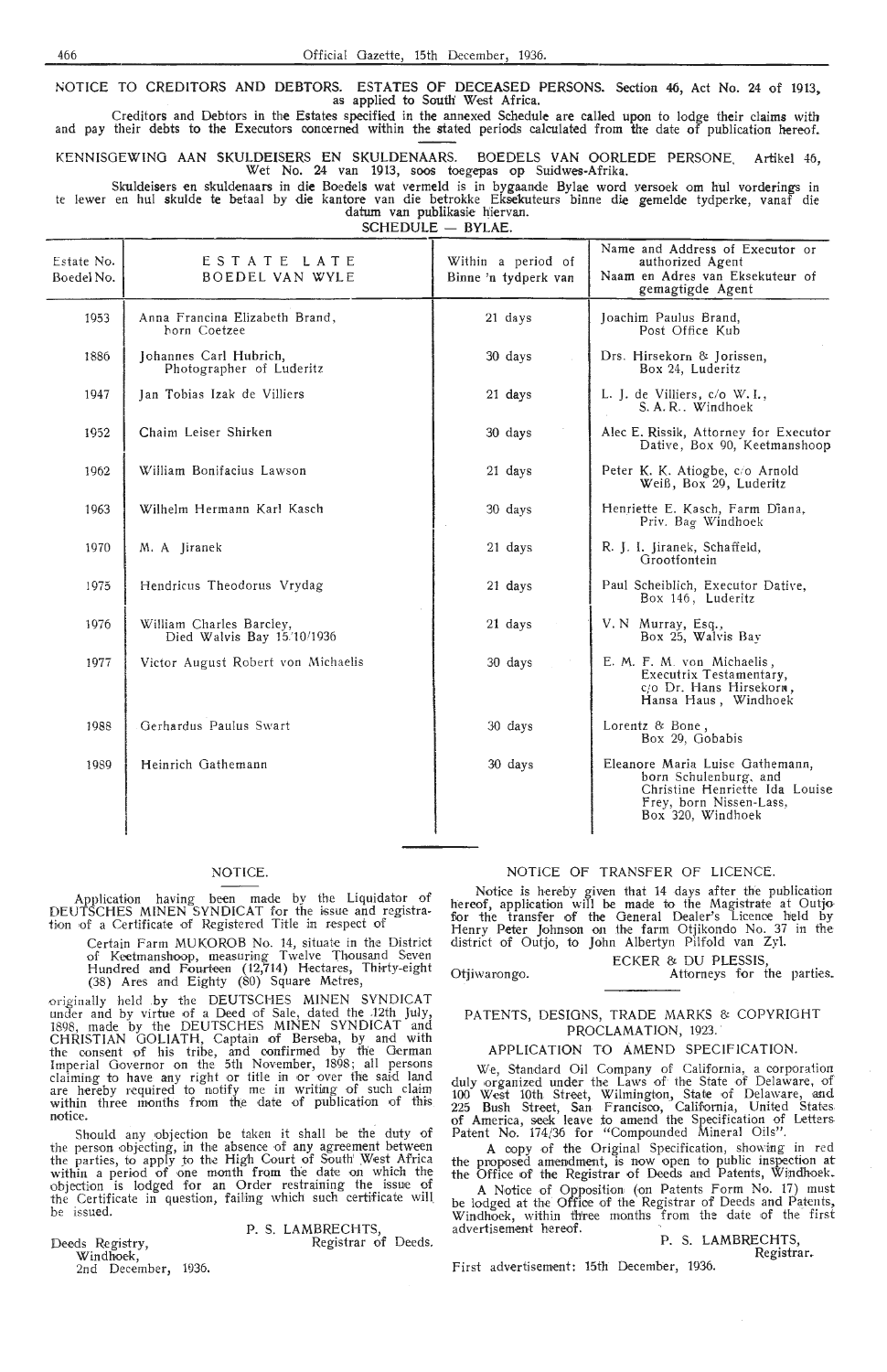NOTICE TO CREDITORS AND DEBTORS. ESTATES OF DECEASED PERSONS. Section 46, Act No. 24 of 1913, as applied to South' West Africa.

Creditors and Debtors in the Estates specified in the annexed Schedule are called upon to lodge their claims with and pay their debts to the Executors concerned within the stated periods calculated from the date of publication hereof.

KENNISOEWING AAN SKULDEISERS EN SKULDENAARS. BOEDELS VAN OORLEDE PERSONE. Artikel 46, Wet No. 24 van 1913, soos toegepas op Suidwes-Afrika.

Skuldeisers en skuldenaars in die Boedels wat vermeld is in bygaande Bylae word versoek om hul vorderings in te !ewer en hul skulde te betaal by die kantore van die betrokke Eksekuteurs binne die gemelde tydperke, vanaf die datum van publikasie hiervan.

SCHEDULE - BYLAE.

| Estate No.<br>Boedel No. | ESTATE LATE<br><b>BOEDEL VAN WYLE</b>                  | Within a period of<br>Binne 'n tydperk van | Name and Address of Executor or<br>authorized Agent<br>Naam en Adres van Eksekuteur of<br>gemagtigde Agent                                 |
|--------------------------|--------------------------------------------------------|--------------------------------------------|--------------------------------------------------------------------------------------------------------------------------------------------|
| 1953                     | Anna Francina Elizabeth Brand,<br>horn Coetzee         | $21$ days                                  | Joachim Paulus Brand,<br>Post Office Kub                                                                                                   |
| 1886                     | Johannes Carl Hubrich,<br>Photographer of Luderitz     | 30 days                                    | Drs. Hirsekorn & Jorissen,<br>Box 24, Luderitz                                                                                             |
| 1947                     | Jan Tobias Izak de Villiers                            | 21 days                                    | L. J. de Villiers, c/o W. I.,<br>S. A. R Windhoek                                                                                          |
| 1952                     | Chaim Leiser Shirken                                   | 30 days                                    | Alec E. Rissik, Attorney for Executor<br>Dative, Box 90, Keetmanshoop                                                                      |
| 1962                     | William Bonifacius Lawson                              | 21 days                                    | Peter K. K. Atiogbe, c/o Arnold<br>Weiß, Box 29, Luderitz                                                                                  |
| 1963                     | Wilhelm Hermann Karl Kasch                             | 30 days                                    | Henriette E. Kasch, Farm Diana,<br>Priv. Bag Windhoek                                                                                      |
| 1970                     | M. A Jiranek                                           | 21 days                                    | R. J. I. Jiranek, Schaffeld,<br>Grootfontein                                                                                               |
| 1975                     | Hendricus Theodorus Vrydag                             | 21 days                                    | Paul Scheiblich, Executor Dative,<br>Box 146, Luderitz                                                                                     |
| 1976                     | William Charles Barcley,<br>Died Walvis Bay 15/10/1936 | 21 days                                    | V. N Murray, Esq.,<br>Box 25, Walvis Bav                                                                                                   |
| 1977                     | Victor August Robert von Michaelis                     | 30 days                                    | E. M. F. M. von Michaelis,<br>Executrix Testamentary,<br>c/o Dr. Hans Hirsekorn,<br>Hansa Haus, Windhoek                                   |
| 1988                     | Gerhardus Paulus Swart                                 | 30 days                                    | Lorentz & Bone,<br>Box 29, Gobabis                                                                                                         |
| 1989                     | Heinrich Gathemann                                     | 30 days                                    | Eleanore Maria Luise Gathemann,<br>born Schulenburg, and<br>Christine Henriette Ida Louise<br>Frey, born Nissen-Lass,<br>Box 320, Windhoek |

#### NOTICE.

Application having been made by the Liquidator of DEUTSCHES MINEN SYNDICAT for the issue and registration of a Certificate of Registered Title in respect of

> Certain Farm MUKOROB No. 14, situate in the District<br>of Keetmanshoop, measuring Twelve Thousand Seven<br>Hundred and Fourteen (12,714) Hectares, Thirty-eight (38) Ar-es and Eighty (80) Square Metres,

originally held by the DEUTSCHES MINEN SYNDICAT under and by virtue of a Deed of Sale, dated the .12th July, 1898, made by the DEUTSCHES MINEN SYNOICAT and CHRISTIAN GOLIATH, Captain of Berseba, by and with the consent of his tribe, and confirmed by the German Imperial Governor on the 5th November, 1898; all persons claiming to have any right or title in or over the said land<br>are hereby required to notify me in writing of such claim within three months from the date of publication of this notice.

Should any objection be taken it shall be the duty of the person objecting, in the absence of any agreement between the parties, to apply to the High Court of South' West Africa within a period of one month from the date on which the objection is lodged for an Order restraining the issue of the Certificate in question, failing which such certificate will be issued.

Deeds Registry, Windhoek, 2nd December, 1936. P. S. LAMBRECHTS, Registrar of Deeds.

## NOTICE OF TRANSFER OF LICENCE.

Notice is hereby given that 14 days after the publication hereof, application will be made to the Magistrate at Outjo for the transfer of the General Dealer's Licence held by Henry Peter Johnson on the farm Otjikondo No. 37 in the district of Outjo, to John Albertyn Pilfold van Zyl.

ECKER & DU PLESSIS Otjiwarongo. **Example 2018** Attorneys for the parties.

PATENTS, DESIGNS, TRADE MARKS & COPYRIGHT PROCLAMATION, 1923.

### APPLICATION TO AMEND SPECIFICATION.

We, Standard Oil Company of California, a corporation duly organized under the Laws of the State of Delaware, of 100 West 10th Street, Wilmington, State of Delaware, and 225 Bush Stred, San. Francisoo, California, United Stares. of America, seek leave fo amend the Specification of Letters. Patent No. 174/36 for "Compounded Mineral Oils".

A oopy of the Original Specification, showing- in red the proposed amendment, is now open to public inspection at the Office of the Registrar of Deeds and Patents, Windhoek.

A Notice of Opposition (on Patents Form No. 17) must be lodged at the Office of the Registrar of Deeds and Patents, Windhoek, within thiree months from the date of the first advertisement hereof.

P. S. LAMBRECHTS, Registrar.

First advertisement: 15th December, 1936.